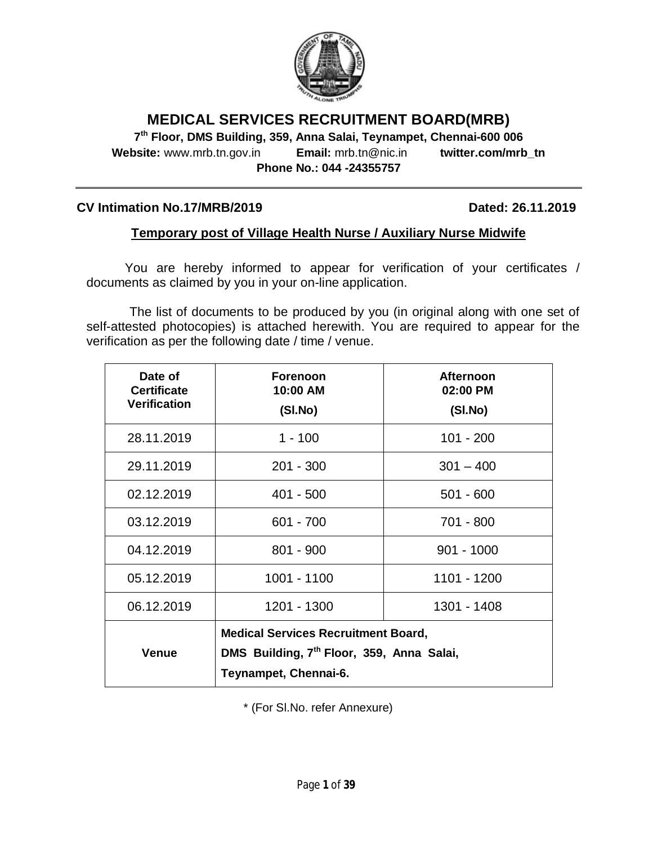

# **MEDICAL SERVICES RECRUITMENT BOARD(MRB)**

**7 th Floor, DMS Building, 359, Anna Salai, Teynampet, Chennai-600 006 Website:** www.mrb.tn.gov.in **Email:** mrb.tn@nic.in **twitter.com/mrb\_tn Phone No.: 044 -24355757**

### **CV Intimation No.17/MRB/2019 Dated: 26.11.2019**

## **Temporary post of Village Health Nurse / Auxiliary Nurse Midwife**

You are hereby informed to appear for verification of your certificates / documents as claimed by you in your on-line application.

The list of documents to be produced by you (in original along with one set of self-attested photocopies) is attached herewith. You are required to appear for the verification as per the following date / time / venue.

| Date of<br><b>Certificate</b><br><b>Verification</b> | <b>Forenoon</b><br>10:00 AM<br>(SI.No)                                                                                       | <b>Afternoon</b><br>02:00 PM<br>(SI.No) |
|------------------------------------------------------|------------------------------------------------------------------------------------------------------------------------------|-----------------------------------------|
| 28.11.2019                                           | $1 - 100$                                                                                                                    | $101 - 200$                             |
| 29.11.2019                                           | $201 - 300$                                                                                                                  | $301 - 400$                             |
| 02.12.2019                                           | $401 - 500$                                                                                                                  | $501 - 600$                             |
| 03.12.2019                                           | $601 - 700$                                                                                                                  | 701 - 800                               |
| 04.12.2019                                           | $801 - 900$                                                                                                                  | $901 - 1000$                            |
| 05.12.2019                                           | 1001 - 1100                                                                                                                  | 1101 - 1200                             |
| 06.12.2019                                           | 1201 - 1300                                                                                                                  | 1301 - 1408                             |
| <b>Venue</b>                                         | <b>Medical Services Recruitment Board,</b><br>DMS Building, 7 <sup>th</sup> Floor, 359, Anna Salai,<br>Teynampet, Chennai-6. |                                         |

\* (For Sl.No. refer Annexure)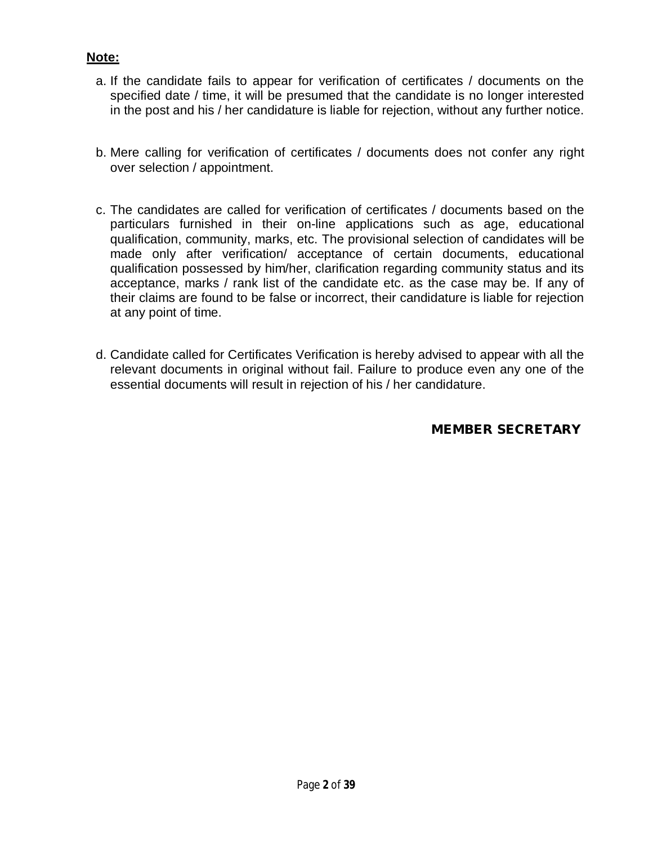# **Note:**

- a. If the candidate fails to appear for verification of certificates / documents on the specified date / time, it will be presumed that the candidate is no longer interested in the post and his / her candidature is liable for rejection, without any further notice.
- b. Mere calling for verification of certificates / documents does not confer any right over selection / appointment.
- c. The candidates are called for verification of certificates / documents based on the particulars furnished in their on-line applications such as age, educational qualification, community, marks, etc. The provisional selection of candidates will be made only after verification/ acceptance of certain documents, educational qualification possessed by him/her, clarification regarding community status and its acceptance, marks / rank list of the candidate etc. as the case may be. If any of their claims are found to be false or incorrect, their candidature is liable for rejection at any point of time.
- d. Candidate called for Certificates Verification is hereby advised to appear with all the relevant documents in original without fail. Failure to produce even any one of the essential documents will result in rejection of his / her candidature.

**MEMBER SECRETARY**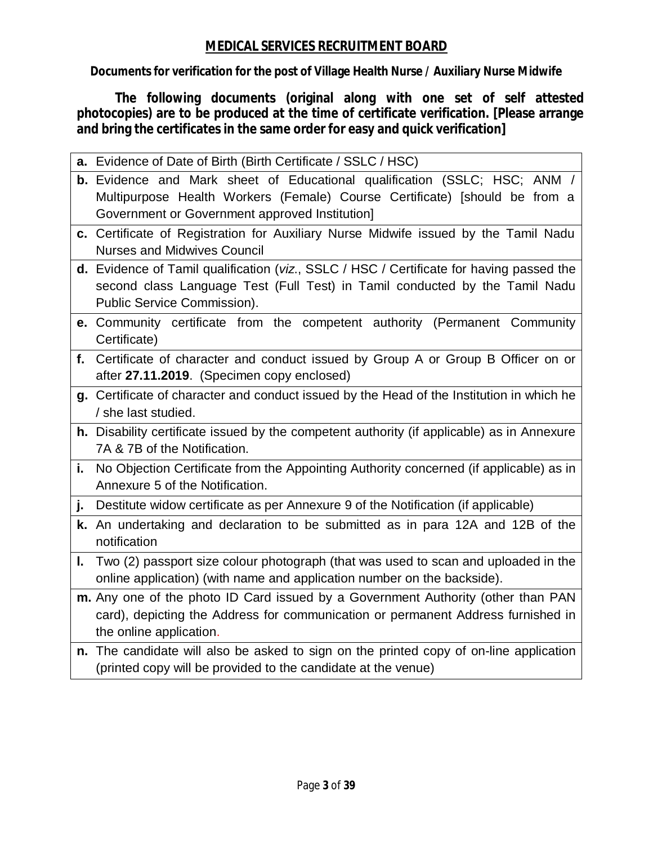# **MEDICAL SERVICES RECRUITMENT BOARD**

**Documents for verification for the post of Village Health Nurse / Auxiliary Nurse Midwife**

**The following documents (original along with one set of self attested photocopies) are to be produced at the time of certificate verification. [Please arrange and bring the certificates in the same order for easy and quick verification]**

|    | a. Evidence of Date of Birth (Birth Certificate / SSLC / HSC)                                                                                                                                          |
|----|--------------------------------------------------------------------------------------------------------------------------------------------------------------------------------------------------------|
|    | b. Evidence and Mark sheet of Educational qualification (SSLC; HSC; ANM /                                                                                                                              |
|    | Multipurpose Health Workers (Female) Course Certificate) [should be from a<br>Government or Government approved Institution]                                                                           |
|    | c. Certificate of Registration for Auxiliary Nurse Midwife issued by the Tamil Nadu<br><b>Nurses and Midwives Council</b>                                                                              |
|    | d. Evidence of Tamil qualification (viz., SSLC / HSC / Certificate for having passed the<br>second class Language Test (Full Test) in Tamil conducted by the Tamil Nadu<br>Public Service Commission). |
|    | e. Community certificate from the competent authority (Permanent Community<br>Certificate)                                                                                                             |
| f. | Certificate of character and conduct issued by Group A or Group B Officer on or<br>after 27.11.2019. (Specimen copy enclosed)                                                                          |
|    | g. Certificate of character and conduct issued by the Head of the Institution in which he<br>/ she last studied.                                                                                       |
|    | h. Disability certificate issued by the competent authority (if applicable) as in Annexure<br>7A & 7B of the Notification.                                                                             |
| i. | No Objection Certificate from the Appointing Authority concerned (if applicable) as in<br>Annexure 5 of the Notification.                                                                              |
| j. | Destitute widow certificate as per Annexure 9 of the Notification (if applicable)                                                                                                                      |
|    | k. An undertaking and declaration to be submitted as in para 12A and 12B of the<br>notification                                                                                                        |
| ı. | Two (2) passport size colour photograph (that was used to scan and uploaded in the<br>online application) (with name and application number on the backside).                                          |
|    | m. Any one of the photo ID Card issued by a Government Authority (other than PAN<br>card), depicting the Address for communication or permanent Address furnished in<br>the online application.        |
|    | n. The candidate will also be asked to sign on the printed copy of on-line application<br>(printed copy will be provided to the candidate at the venue)                                                |
|    |                                                                                                                                                                                                        |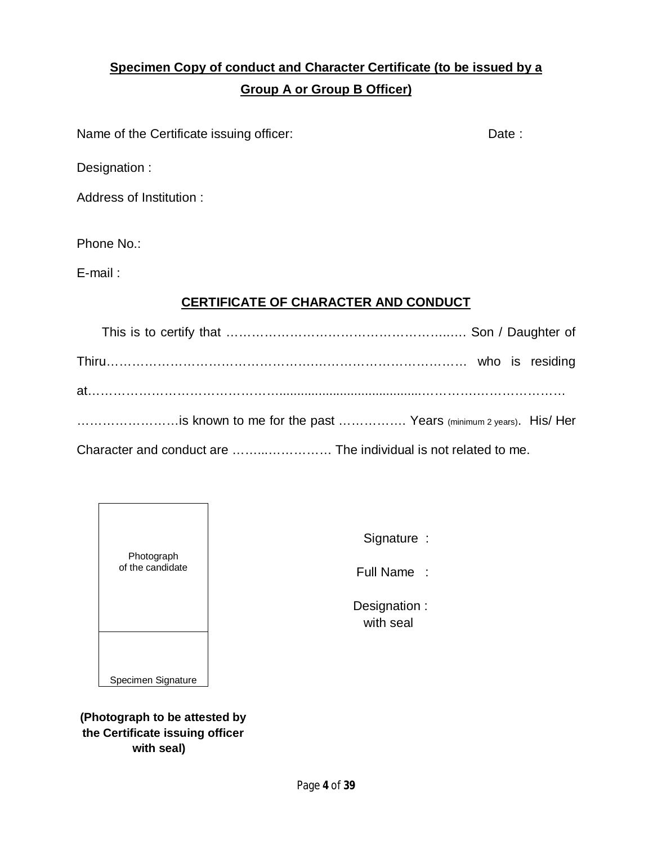# **Specimen Copy of conduct and Character Certificate (to be issued by a Group A or Group B Officer)**

Name of the Certificate issuing officer: Date : Date :

Designation :

Address of Institution :

Phone No.:

E-mail :

# **CERTIFICATE OF CHARACTER AND CONDUCT**

| is known to me for the past  Years (minimum 2 years). His/ Her |  |  |
|----------------------------------------------------------------|--|--|
|                                                                |  |  |

Character and conduct are ……...…………… The individual is not related to me.



Signature :

Full Name :

 Designation : with seal

**(Photograph to be attested by the Certificate issuing officer with seal)**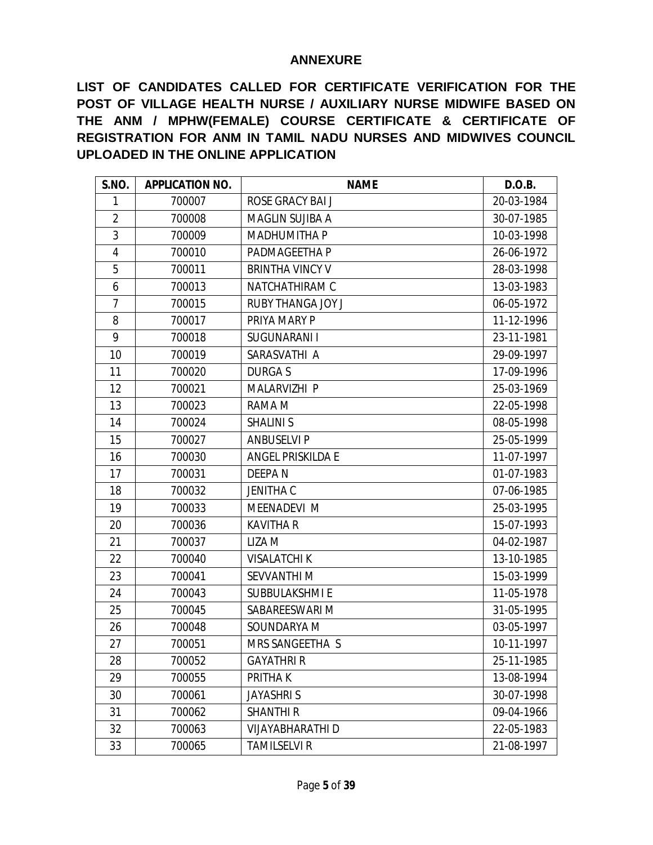#### **ANNEXURE**

**LIST OF CANDIDATES CALLED FOR CERTIFICATE VERIFICATION FOR THE POST OF VILLAGE HEALTH NURSE / AUXILIARY NURSE MIDWIFE BASED ON THE ANM / MPHW(FEMALE) COURSE CERTIFICATE & CERTIFICATE OF REGISTRATION FOR ANM IN TAMIL NADU NURSES AND MIDWIVES COUNCIL UPLOADED IN THE ONLINE APPLICATION**

| S.NO.          | <b>APPLICATION NO.</b> | <b>NAME</b>              | D.O.B.     |
|----------------|------------------------|--------------------------|------------|
| 1              | 700007                 | ROSE GRACY BAI J         | 20-03-1984 |
| $\overline{2}$ | 700008                 | <b>MAGLIN SUJIBA A</b>   | 30-07-1985 |
| 3              | 700009                 | <b>MADHUMITHA P</b>      | 10-03-1998 |
| 4              | 700010                 | PADMAGEETHA P            | 26-06-1972 |
| 5              | 700011                 | <b>BRINTHA VINCY V</b>   | 28-03-1998 |
| 6              | 700013                 | NATCHATHIRAM C           | 13-03-1983 |
| $\overline{7}$ | 700015                 | <b>RUBY THANGA JOY J</b> | 06-05-1972 |
| 8              | 700017                 | PRIYA MARY P             | 11-12-1996 |
| 9              | 700018                 | SUGUNARANI I             | 23-11-1981 |
| 10             | 700019                 | SARASVATHI A             | 29-09-1997 |
| 11             | 700020                 | <b>DURGAS</b>            | 17-09-1996 |
| 12             | 700021                 | MALARVIZHI P             | 25-03-1969 |
| 13             | 700023                 | RAMA M                   | 22-05-1998 |
| 14             | 700024                 | <b>SHALINI S</b>         | 08-05-1998 |
| 15             | 700027                 | <b>ANBUSELVI P</b>       | 25-05-1999 |
| 16             | 700030                 | ANGEL PRISKILDA E        | 11-07-1997 |
| 17             | 700031                 | <b>DEEPAN</b>            | 01-07-1983 |
| 18             | 700032                 | <b>JENITHA C</b>         | 07-06-1985 |
| 19             | 700033                 | MEENADEVI M              | 25-03-1995 |
| 20             | 700036                 | <b>KAVITHA R</b>         | 15-07-1993 |
| 21             | 700037                 | LIZA M                   | 04-02-1987 |
| 22             | 700040                 | <b>VISALATCHI K</b>      | 13-10-1985 |
| 23             | 700041                 | <b>SEVVANTHIM</b>        | 15-03-1999 |
| 24             | 700043                 | SUBBULAKSHMI E           | 11-05-1978 |
| 25             | 700045                 | SABAREESWARI M           | 31-05-1995 |
| 26             | 700048                 | SOUNDARYA M              | 03-05-1997 |
| 27             | 700051                 | MRS SANGEETHA S          | 10-11-1997 |
| 28             | 700052                 | <b>GAYATHRI R</b>        | 25-11-1985 |
| 29             | 700055                 | PRITHA K                 | 13-08-1994 |
| 30             | 700061                 | <b>JAYASHRIS</b>         | 30-07-1998 |
| 31             | 700062                 | <b>SHANTHI R</b>         | 09-04-1966 |
| 32             | 700063                 | <b>VIJAYABHARATHI D</b>  | 22-05-1983 |
| 33             | 700065                 | <b>TAMILSELVI R</b>      | 21-08-1997 |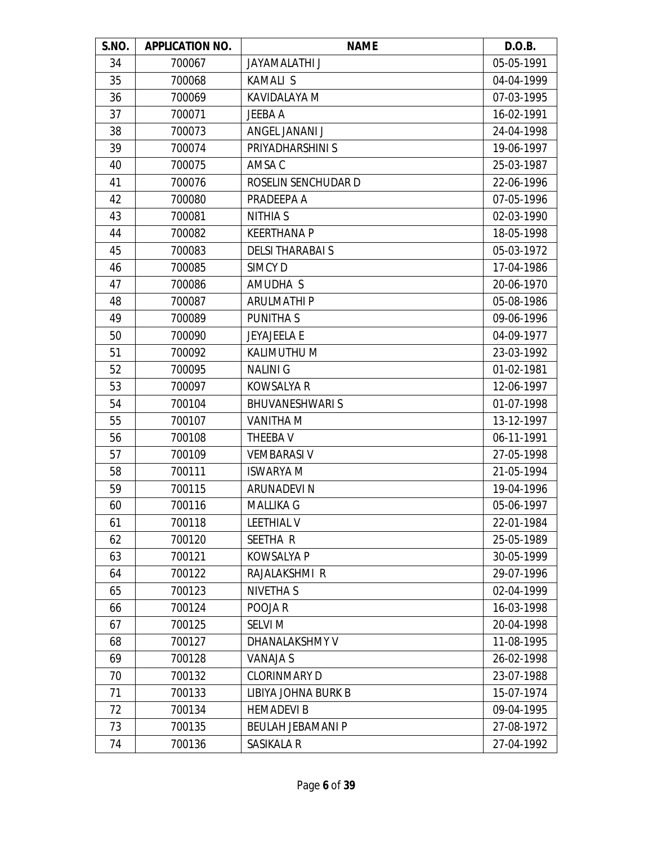| S.NO. | <b>APPLICATION NO.</b> | <b>NAME</b>              | D.O.B.     |
|-------|------------------------|--------------------------|------------|
| 34    | 700067                 | <b>JAYAMALATHI J</b>     | 05-05-1991 |
| 35    | 700068                 | <b>KAMALI S</b>          | 04-04-1999 |
| 36    | 700069                 | KAVIDALAYA M             | 07-03-1995 |
| 37    | 700071                 | <b>JEEBA A</b>           | 16-02-1991 |
| 38    | 700073                 | ANGEL JANANI J           | 24-04-1998 |
| 39    | 700074                 | PRIYADHARSHINI S         | 19-06-1997 |
| 40    | 700075                 | AMSA C                   | 25-03-1987 |
| 41    | 700076                 | ROSELIN SENCHUDAR D      | 22-06-1996 |
| 42    | 700080                 | PRADEEPA A               | 07-05-1996 |
| 43    | 700081                 | <b>NITHIA S</b>          | 02-03-1990 |
| 44    | 700082                 | <b>KEERTHANA P</b>       | 18-05-1998 |
| 45    | 700083                 | <b>DELSI THARABAI S</b>  | 05-03-1972 |
| 46    | 700085                 | <b>SIMCYD</b>            | 17-04-1986 |
| 47    | 700086                 | AMUDHA S                 | 20-06-1970 |
| 48    | 700087                 | <b>ARULMATHIP</b>        | 05-08-1986 |
| 49    | 700089                 | PUNITHA S                | 09-06-1996 |
| 50    | 700090                 | <b>JEYAJEELA E</b>       | 04-09-1977 |
| 51    | 700092                 | KALIMUTHU M              | 23-03-1992 |
| 52    | 700095                 | <b>NALINIG</b>           | 01-02-1981 |
| 53    | 700097                 | <b>KOWSALYA R</b>        | 12-06-1997 |
| 54    | 700104                 | <b>BHUVANESHWARIS</b>    | 01-07-1998 |
| 55    | 700107                 | <b>VANITHA M</b>         | 13-12-1997 |
| 56    | 700108                 | THEEBA V                 | 06-11-1991 |
| 57    | 700109                 | <b>VEMBARASI V</b>       | 27-05-1998 |
| 58    | 700111                 | <b>ISWARYA M</b>         | 21-05-1994 |
| 59    | 700115                 | <b>ARUNADEVIN</b>        | 19-04-1996 |
| 60    | 700116                 | <b>MALLIKA G</b>         | 05-06-1997 |
| 61    | 700118                 | <b>LEETHIAL V</b>        | 22-01-1984 |
| 62    | 700120                 | SEETHA R                 | 25-05-1989 |
| 63    | 700121                 | <b>KOWSALYA P</b>        | 30-05-1999 |
| 64    | 700122                 | RAJALAKSHMI R            | 29-07-1996 |
| 65    | 700123                 | <b>NIVETHAS</b>          | 02-04-1999 |
| 66    | 700124                 | POOJA R                  | 16-03-1998 |
| 67    | 700125                 | <b>SELVI M</b>           | 20-04-1998 |
| 68    | 700127                 | DHANALAKSHMY V           | 11-08-1995 |
| 69    | 700128                 | <b>VANAJA S</b>          | 26-02-1998 |
| 70    | 700132                 | <b>CLORINMARY D</b>      | 23-07-1988 |
| 71    | 700133                 | LIBIYA JOHNA BURK B      | 15-07-1974 |
| 72    | 700134                 | <b>HEMADEVI B</b>        | 09-04-1995 |
| 73    | 700135                 | <b>BEULAH JEBAMANI P</b> | 27-08-1972 |
| 74    | 700136                 | SASIKALA R               | 27-04-1992 |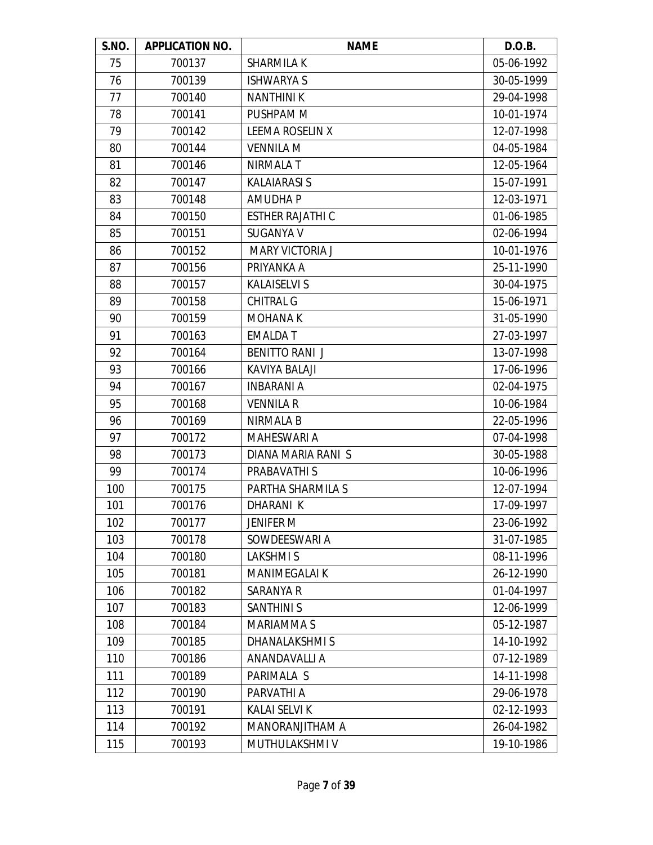| S.NO. | <b>APPLICATION NO.</b> | <b>NAME</b>             | D.O.B.     |
|-------|------------------------|-------------------------|------------|
| 75    | 700137                 | <b>SHARMILA K</b>       | 05-06-1992 |
| 76    | 700139                 | <b>ISHWARYA S</b>       | 30-05-1999 |
| 77    | 700140                 | <b>NANTHINIK</b>        | 29-04-1998 |
| 78    | 700141                 | PUSHPAM M               | 10-01-1974 |
| 79    | 700142                 | LEEMA ROSELIN X         | 12-07-1998 |
| 80    | 700144                 | <b>VENNILA M</b>        | 04-05-1984 |
| 81    | 700146                 | <b>NIRMALA T</b>        | 12-05-1964 |
| 82    | 700147                 | <b>KALAIARASI S</b>     | 15-07-1991 |
| 83    | 700148                 | <b>AMUDHAP</b>          | 12-03-1971 |
| 84    | 700150                 | <b>ESTHER RAJATHI C</b> | 01-06-1985 |
| 85    | 700151                 | <b>SUGANYA V</b>        | 02-06-1994 |
| 86    | 700152                 | <b>MARY VICTORIA J</b>  | 10-01-1976 |
| 87    | 700156                 | PRIYANKA A              | 25-11-1990 |
| 88    | 700157                 | <b>KALAISELVI S</b>     | 30-04-1975 |
| 89    | 700158                 | <b>CHITRAL G</b>        | 15-06-1971 |
| 90    | 700159                 | <b>MOHANAK</b>          | 31-05-1990 |
| 91    | 700163                 | <b>EMALDAT</b>          | 27-03-1997 |
| 92    | 700164                 | <b>BENITTO RANIJ</b>    | 13-07-1998 |
| 93    | 700166                 | KAVIYA BALAJI           | 17-06-1996 |
| 94    | 700167                 | <b>INBARANI A</b>       | 02-04-1975 |
| 95    | 700168                 | <b>VENNILA R</b>        | 10-06-1984 |
| 96    | 700169                 | NIRMALA B               | 22-05-1996 |
| 97    | 700172                 | <b>MAHESWARI A</b>      | 07-04-1998 |
| 98    | 700173                 | DIANA MARIA RANI S      | 30-05-1988 |
| 99    | 700174                 | PRABAVATHI S            | 10-06-1996 |
| 100   | 700175                 | PARTHA SHARMILA S       | 12-07-1994 |
| 101   | 700176                 | DHARANI K               | 17-09-1997 |
| 102   | 700177                 | <b>JENIFER M</b>        | 23-06-1992 |
| 103   | 700178                 | SOWDEESWARI A           | 31-07-1985 |
| 104   | 700180                 | <b>LAKSHMIS</b>         | 08-11-1996 |
| 105   | 700181                 | <b>MANIMEGALAI K</b>    | 26-12-1990 |
| 106   | 700182                 | SARANYA R               | 01-04-1997 |
| 107   | 700183                 | <b>SANTHINI S</b>       | 12-06-1999 |
| 108   | 700184                 | <b>MARIAMMAS</b>        | 05-12-1987 |
| 109   | 700185                 | <b>DHANALAKSHMIS</b>    | 14-10-1992 |
| 110   | 700186                 | ANANDAVALLI A           | 07-12-1989 |
| 111   | 700189                 | PARIMALA S              | 14-11-1998 |
| 112   | 700190                 | PARVATHI A              | 29-06-1978 |
| 113   | 700191                 | <b>KALAI SELVI K</b>    | 02-12-1993 |
| 114   | 700192                 | MANORANJITHAM A         | 26-04-1982 |
| 115   | 700193                 | MUTHULAKSHMI V          | 19-10-1986 |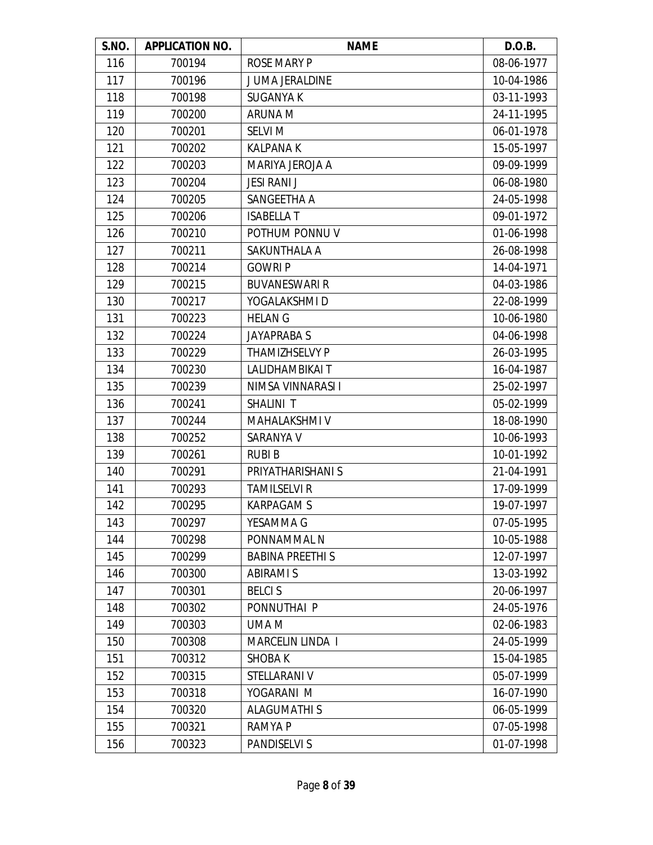| S.NO. | <b>APPLICATION NO.</b> | <b>NAME</b>             | D.O.B.     |
|-------|------------------------|-------------------------|------------|
| 116   | 700194                 | <b>ROSE MARY P</b>      | 08-06-1977 |
| 117   | 700196                 | JUMA JERALDINE          | 10-04-1986 |
| 118   | 700198                 | <b>SUGANYA K</b>        | 03-11-1993 |
| 119   | 700200                 | ARUNA M                 | 24-11-1995 |
| 120   | 700201                 | <b>SELVI M</b>          | 06-01-1978 |
| 121   | 700202                 | <b>KALPANAK</b>         | 15-05-1997 |
| 122   | 700203                 | MARIYA JEROJA A         | 09-09-1999 |
| 123   | 700204                 | <b>JESI RANI J</b>      | 06-08-1980 |
| 124   | 700205                 | SANGEETHA A             | 24-05-1998 |
| 125   | 700206                 | <b>ISABELLA T</b>       | 09-01-1972 |
| 126   | 700210                 | POTHUM PONNU V          | 01-06-1998 |
| 127   | 700211                 | SAKUNTHALA A            | 26-08-1998 |
| 128   | 700214                 | <b>GOWRIP</b>           | 14-04-1971 |
| 129   | 700215                 | <b>BUVANESWARI R</b>    | 04-03-1986 |
| 130   | 700217                 | YOGALAKSHMI D           | 22-08-1999 |
| 131   | 700223                 | <b>HELAN G</b>          | 10-06-1980 |
| 132   | 700224                 | <b>JAYAPRABA S</b>      | 04-06-1998 |
| 133   | 700229                 | THAMIZHSELVY P          | 26-03-1995 |
| 134   | 700230                 | LALIDHAMBIKAI T         | 16-04-1987 |
| 135   | 700239                 | NIMSA VINNARASI I       | 25-02-1997 |
| 136   | 700241                 | SHALINI T               | 05-02-1999 |
| 137   | 700244                 | MAHALAKSHMI V           | 18-08-1990 |
| 138   | 700252                 | SARANYA V               | 10-06-1993 |
| 139   | 700261                 | <b>RUBIB</b>            | 10-01-1992 |
| 140   | 700291                 | PRIYATHARISHANI S       | 21-04-1991 |
| 141   | 700293                 | <b>TAMILSELVI R</b>     | 17-09-1999 |
| 142   | 700295                 | <b>KARPAGAM S</b>       | 19-07-1997 |
| 143   | 700297                 | YESAMMA G               | 07-05-1995 |
| 144   | 700298                 | PONNAMMAL N             | 10-05-1988 |
| 145   | 700299                 | <b>BABINA PREETHI S</b> | 12-07-1997 |
| 146   | 700300                 | <b>ABIRAMI S</b>        | 13-03-1992 |
| 147   | 700301                 | <b>BELCIS</b>           | 20-06-1997 |
| 148   | 700302                 | PONNUTHAI P             | 24-05-1976 |
| 149   | 700303                 | UMA M                   | 02-06-1983 |
| 150   | 700308                 | MARCELIN LINDA I        | 24-05-1999 |
| 151   | 700312                 | <b>SHOBAK</b>           | 15-04-1985 |
| 152   | 700315                 | STELLARANI V            | 05-07-1999 |
| 153   | 700318                 | YOGARANI M              | 16-07-1990 |
| 154   | 700320                 | <b>ALAGUMATHI S</b>     | 06-05-1999 |
| 155   | 700321                 | <b>RAMYAP</b>           | 07-05-1998 |
| 156   | 700323                 | <b>PANDISELVI S</b>     | 01-07-1998 |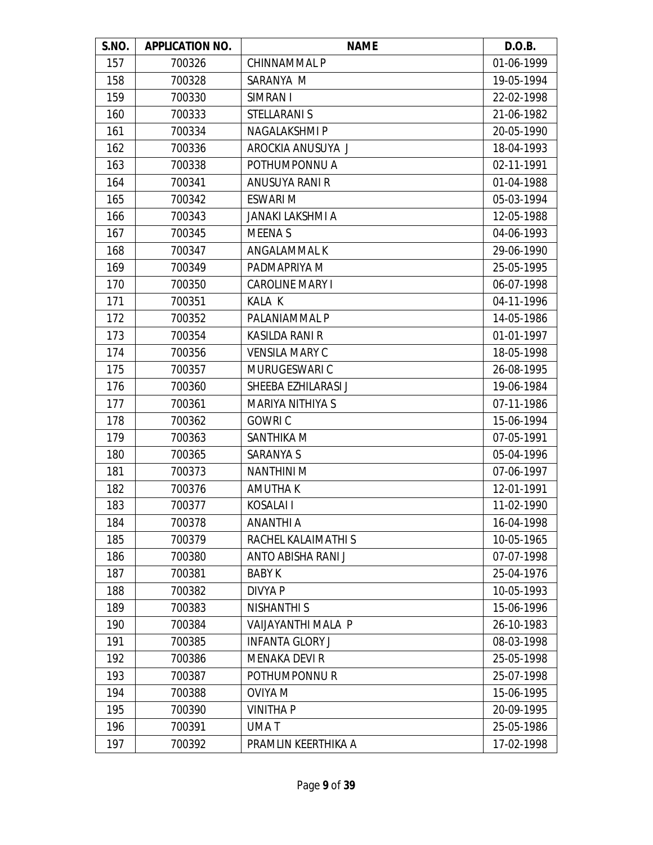| S.NO. | <b>APPLICATION NO.</b> | <b>NAME</b>             | D.O.B.     |
|-------|------------------------|-------------------------|------------|
| 157   | 700326                 | <b>CHINNAMMALP</b>      | 01-06-1999 |
| 158   | 700328                 | SARANYA M               | 19-05-1994 |
| 159   | 700330                 | SIMRAN I                | 22-02-1998 |
| 160   | 700333                 | <b>STELLARANI S</b>     | 21-06-1982 |
| 161   | 700334                 | NAGALAKSHMI P           | 20-05-1990 |
| 162   | 700336                 | AROCKIA ANUSUYA J       | 18-04-1993 |
| 163   | 700338                 | POTHUMPONNU A           | 02-11-1991 |
| 164   | 700341                 | ANUSUYA RANI R          | 01-04-1988 |
| 165   | 700342                 | <b>ESWARI M</b>         | 05-03-1994 |
| 166   | 700343                 | <b>JANAKI LAKSHMI A</b> | 12-05-1988 |
| 167   | 700345                 | <b>MEENAS</b>           | 04-06-1993 |
| 168   | 700347                 | ANGALAMMAL K            | 29-06-1990 |
| 169   | 700349                 | PADMAPRIYA M            | 25-05-1995 |
| 170   | 700350                 | <b>CAROLINE MARY I</b>  | 06-07-1998 |
| 171   | 700351                 | KALA K                  | 04-11-1996 |
| 172   | 700352                 | PALANIAMMAL P           | 14-05-1986 |
| 173   | 700354                 | <b>KASILDA RANI R</b>   | 01-01-1997 |
| 174   | 700356                 | <b>VENSILA MARY C</b>   | 18-05-1998 |
| 175   | 700357                 | MURUGESWARI C           | 26-08-1995 |
| 176   | 700360                 | SHEEBA EZHILARASI J     | 19-06-1984 |
| 177   | 700361                 | <b>MARIYA NITHIYA S</b> | 07-11-1986 |
| 178   | 700362                 | <b>GOWRIC</b>           | 15-06-1994 |
| 179   | 700363                 | SANTHIKA M              | 07-05-1991 |
| 180   | 700365                 | SARANYA S               | 05-04-1996 |
| 181   | 700373                 | <b>NANTHINI M</b>       | 07-06-1997 |
| 182   | 700376                 | <b>AMUTHAK</b>          | 12-01-1991 |
| 183   | 700377                 | KOSALAI I               | 11-02-1990 |
| 184   | 700378                 | ANANTHI A               | 16-04-1998 |
| 185   | 700379                 | RACHEL KALAIMATHI S     | 10-05-1965 |
| 186   | 700380                 | ANTO ABISHA RANI J      | 07-07-1998 |
| 187   | 700381                 | <b>BABY K</b>           | 25-04-1976 |
| 188   | 700382                 | DIVYA P                 | 10-05-1993 |
| 189   | 700383                 | <b>NISHANTHI S</b>      | 15-06-1996 |
| 190   | 700384                 | VAIJAYANTHI MALA P      | 26-10-1983 |
| 191   | 700385                 | <b>INFANTA GLORY J</b>  | 08-03-1998 |
| 192   | 700386                 | <b>MENAKA DEVI R</b>    | 25-05-1998 |
| 193   | 700387                 | POTHUMPONNUR            | 25-07-1998 |
| 194   | 700388                 | <b>OVIYA M</b>          | 15-06-1995 |
| 195   | 700390                 | <b>VINITHA P</b>        | 20-09-1995 |
| 196   | 700391                 | UMA T                   | 25-05-1986 |
| 197   | 700392                 | PRAMLIN KEERTHIKA A     | 17-02-1998 |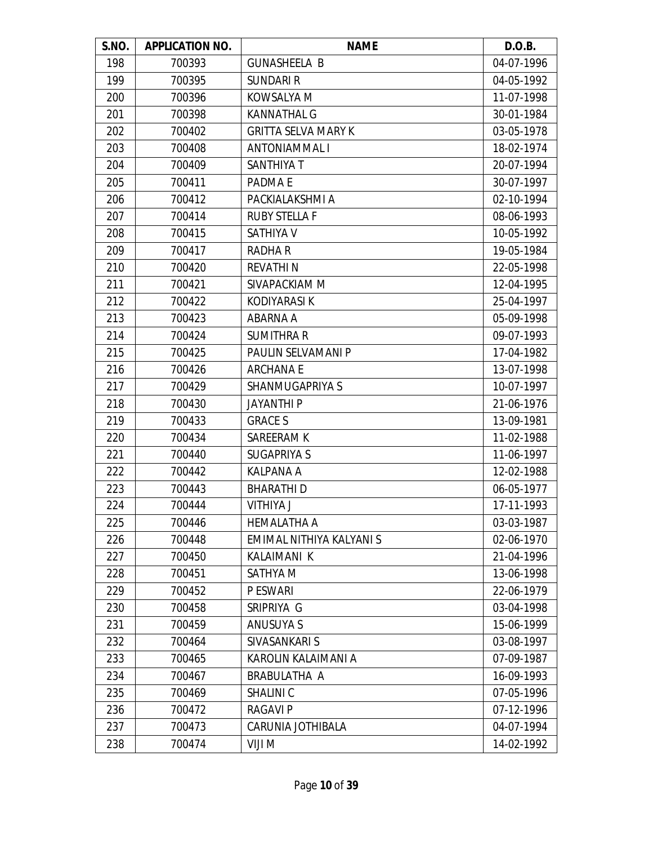| S.NO. | <b>APPLICATION NO.</b> | <b>NAME</b>                | D.O.B.     |
|-------|------------------------|----------------------------|------------|
| 198   | 700393                 | <b>GUNASHEELA B</b>        | 04-07-1996 |
| 199   | 700395                 | <b>SUNDARI R</b>           | 04-05-1992 |
| 200   | 700396                 | KOWSALYA M                 | 11-07-1998 |
| 201   | 700398                 | <b>KANNATHAL G</b>         | 30-01-1984 |
| 202   | 700402                 | <b>GRITTA SELVA MARY K</b> | 03-05-1978 |
| 203   | 700408                 | <b>ANTONIAMMAL I</b>       | 18-02-1974 |
| 204   | 700409                 | <b>SANTHIYA T</b>          | 20-07-1994 |
| 205   | 700411                 | PADMA E                    | 30-07-1997 |
| 206   | 700412                 | PACKIALAKSHMI A            | 02-10-1994 |
| 207   | 700414                 | <b>RUBY STELLA F</b>       | 08-06-1993 |
| 208   | 700415                 | <b>SATHIYA V</b>           | 10-05-1992 |
| 209   | 700417                 | <b>RADHAR</b>              | 19-05-1984 |
| 210   | 700420                 | <b>REVATHIN</b>            | 22-05-1998 |
| 211   | 700421                 | SIVAPACKIAM M              | 12-04-1995 |
| 212   | 700422                 | <b>KODIYARASI K</b>        | 25-04-1997 |
| 213   | 700423                 | ABARNA A                   | 05-09-1998 |
| 214   | 700424                 | <b>SUMITHRA R</b>          | 09-07-1993 |
| 215   | 700425                 | PAULIN SELVAMANI P         | 17-04-1982 |
| 216   | 700426                 | <b>ARCHANAE</b>            | 13-07-1998 |
| 217   | 700429                 | SHANMUGAPRIYA S            | 10-07-1997 |
| 218   | 700430                 | <b>JAYANTHI P</b>          | 21-06-1976 |
| 219   | 700433                 | <b>GRACE S</b>             | 13-09-1981 |
| 220   | 700434                 | SAREERAM K                 | 11-02-1988 |
| 221   | 700440                 | <b>SUGAPRIYA S</b>         | 11-06-1997 |
| 222   | 700442                 | <b>KALPANA A</b>           | 12-02-1988 |
| 223   | 700443                 | <b>BHARATHID</b>           | 06-05-1977 |
| 224   | 700444                 | <b>VITHIYA J</b>           | 17-11-1993 |
| 225   | 700446                 | <b>HEMALATHA A</b>         | 03-03-1987 |
| 226   | 700448                 | EMIMAL NITHIYA KALYANI S   | 02-06-1970 |
| 227   | 700450                 | <b>KALAIMANI K</b>         | 21-04-1996 |
| 228   | 700451                 | SATHYA M                   | 13-06-1998 |
| 229   | 700452                 | P ESWARI                   | 22-06-1979 |
| 230   | 700458                 | SRIPRIYA G                 | 03-04-1998 |
| 231   | 700459                 | ANUSUYA S                  | 15-06-1999 |
| 232   | 700464                 | SIVASANKARI S              | 03-08-1997 |
| 233   | 700465                 | KAROLIN KALAIMANI A        | 07-09-1987 |
| 234   | 700467                 | BRABULATHA A               | 16-09-1993 |
| 235   | 700469                 | SHALINI C                  | 07-05-1996 |
| 236   | 700472                 | <b>RAGAVIP</b>             | 07-12-1996 |
| 237   | 700473                 | CARUNIA JOTHIBALA          | 04-07-1994 |
| 238   | 700474                 | VIJI M                     | 14-02-1992 |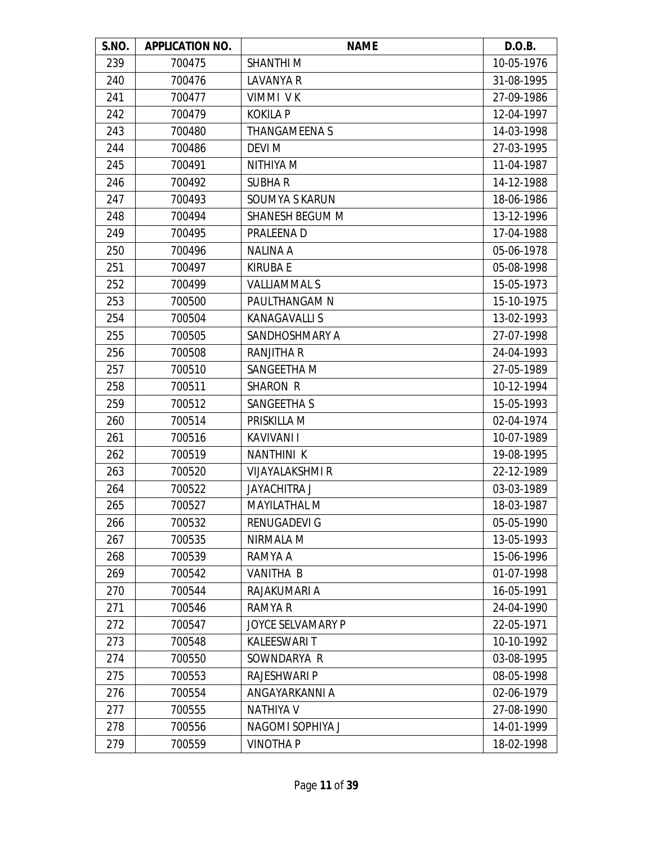| S.NO. | <b>APPLICATION NO.</b> | <b>NAME</b>            | D.O.B.     |
|-------|------------------------|------------------------|------------|
| 239   | 700475                 | <b>SHANTHIM</b>        | 10-05-1976 |
| 240   | 700476                 | <b>LAVANYA R</b>       | 31-08-1995 |
| 241   | 700477                 | VIMMI VK               | 27-09-1986 |
| 242   | 700479                 | <b>KOKILA P</b>        | 12-04-1997 |
| 243   | 700480                 | <b>THANGAMEENAS</b>    | 14-03-1998 |
| 244   | 700486                 | <b>DEVI M</b>          | 27-03-1995 |
| 245   | 700491                 | NITHIYA M              | 11-04-1987 |
| 246   | 700492                 | <b>SUBHAR</b>          | 14-12-1988 |
| 247   | 700493                 | SOUMYA S KARUN         | 18-06-1986 |
| 248   | 700494                 | SHANESH BEGUM M        | 13-12-1996 |
| 249   | 700495                 | PRALEENA D             | 17-04-1988 |
| 250   | 700496                 | <b>NALINA A</b>        | 05-06-1978 |
| 251   | 700497                 | KIRUBA E               | 05-08-1998 |
| 252   | 700499                 | <b>VALLIAMMAL S</b>    | 15-05-1973 |
| 253   | 700500                 | PAULTHANGAM N          | 15-10-1975 |
| 254   | 700504                 | <b>KANAGAVALLIS</b>    | 13-02-1993 |
| 255   | 700505                 | SANDHOSHMARY A         | 27-07-1998 |
| 256   | 700508                 | <b>RANJITHA R</b>      | 24-04-1993 |
| 257   | 700510                 | SANGEETHA M            | 27-05-1989 |
| 258   | 700511                 | <b>SHARON R</b>        | 10-12-1994 |
| 259   | 700512                 | SANGEETHA S            | 15-05-1993 |
| 260   | 700514                 | PRISKILLA M            | 02-04-1974 |
| 261   | 700516                 | <b>KAVIVANI I</b>      | 10-07-1989 |
| 262   | 700519                 | <b>NANTHINI K</b>      | 19-08-1995 |
| 263   | 700520                 | <b>VIJAYALAKSHMI R</b> | 22-12-1989 |
| 264   | 700522                 | <b>JAYACHITRA J</b>    | 03-03-1989 |
| 265   | 700527                 | <b>MAYILATHAL M</b>    | 18-03-1987 |
| 266   | 700532                 | RENUGADEVI G           | 05-05-1990 |
| 267   | 700535                 | NIRMALA M              | 13-05-1993 |
| 268   | 700539                 | RAMYA A                | 15-06-1996 |
| 269   | 700542                 | <b>VANITHA B</b>       | 01-07-1998 |
| 270   | 700544                 | RAJAKUMARI A           | 16-05-1991 |
| 271   | 700546                 | RAMYA R                | 24-04-1990 |
| 272   | 700547                 | JOYCE SELVAMARY P      | 22-05-1971 |
| 273   | 700548                 | <b>KALEESWARI T</b>    | 10-10-1992 |
| 274   | 700550                 | SOWNDARYA R            | 03-08-1995 |
| 275   | 700553                 | RAJESHWARI P           | 08-05-1998 |
| 276   | 700554                 | ANGAYARKANNI A         | 02-06-1979 |
| 277   | 700555                 | <b>NATHIYA V</b>       | 27-08-1990 |
| 278   | 700556                 | NAGOMI SOPHIYA J       | 14-01-1999 |
| 279   | 700559                 | <b>VINOTHAP</b>        | 18-02-1998 |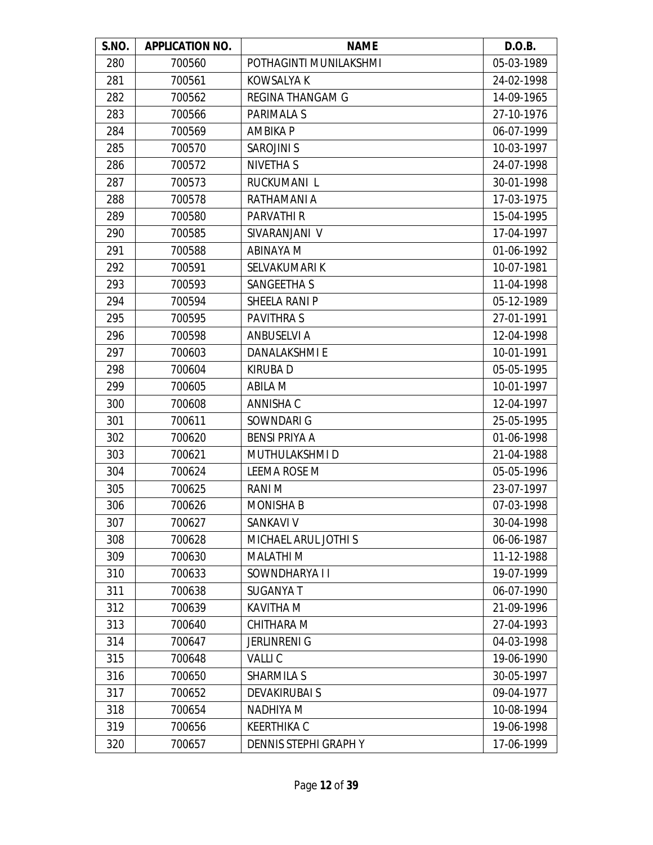| S.NO. | <b>APPLICATION NO.</b> | <b>NAME</b>             | D.O.B.     |
|-------|------------------------|-------------------------|------------|
| 280   | 700560                 | POTHAGINTI MUNILAKSHMI  | 05-03-1989 |
| 281   | 700561                 | <b>KOWSALYA K</b>       | 24-02-1998 |
| 282   | 700562                 | <b>REGINA THANGAM G</b> | 14-09-1965 |
| 283   | 700566                 | PARIMALA S              | 27-10-1976 |
| 284   | 700569                 | <b>AMBIKA P</b>         | 06-07-1999 |
| 285   | 700570                 | <b>SAROJINI S</b>       | 10-03-1997 |
| 286   | 700572                 | <b>NIVETHA S</b>        | 24-07-1998 |
| 287   | 700573                 | RUCKUMANI L             | 30-01-1998 |
| 288   | 700578                 | RATHAMANI A             | 17-03-1975 |
| 289   | 700580                 | PARVATHI R              | 15-04-1995 |
| 290   | 700585                 | SIVARANJANI V           | 17-04-1997 |
| 291   | 700588                 | <b>ABINAYA M</b>        | 01-06-1992 |
| 292   | 700591                 | SELVAKUMARI K           | 10-07-1981 |
| 293   | 700593                 | <b>SANGEETHA S</b>      | 11-04-1998 |
| 294   | 700594                 | SHEELA RANI P           | 05-12-1989 |
| 295   | 700595                 | <b>PAVITHRAS</b>        | 27-01-1991 |
| 296   | 700598                 | <b>ANBUSELVI A</b>      | 12-04-1998 |
| 297   | 700603                 | <b>DANALAKSHMIE</b>     | 10-01-1991 |
| 298   | 700604                 | KIRUBA D                | 05-05-1995 |
| 299   | 700605                 | <b>ABILA M</b>          | 10-01-1997 |
| 300   | 700608                 | ANNISHA C               | 12-04-1997 |
| 301   | 700611                 | SOWNDARI G              | 25-05-1995 |
| 302   | 700620                 | <b>BENSI PRIYA A</b>    | 01-06-1998 |
| 303   | 700621                 | MUTHULAKSHMI D          | 21-04-1988 |
| 304   | 700624                 | <b>LEEMA ROSE M</b>     | 05-05-1996 |
| 305   | 700625                 | <b>RANIM</b>            | 23-07-1997 |
| 306   | 700626                 | <b>MONISHA B</b>        | 07-03-1998 |
| 307   | 700627                 | <b>SANKAVI V</b>        | 30-04-1998 |
| 308   | 700628                 | MICHAEL ARUL JOTHI S    | 06-06-1987 |
| 309   | 700630                 | <b>MALATHIM</b>         | 11-12-1988 |
| 310   | 700633                 | SOWNDHARYA I I          | 19-07-1999 |
| 311   | 700638                 | <b>SUGANYA T</b>        | 06-07-1990 |
| 312   | 700639                 | <b>KAVITHA M</b>        | 21-09-1996 |
| 313   | 700640                 | CHITHARA M              | 27-04-1993 |
| 314   | 700647                 | <b>JERLINRENI G</b>     | 04-03-1998 |
| 315   | 700648                 | <b>VALLIC</b>           | 19-06-1990 |
| 316   | 700650                 | <b>SHARMILA S</b>       | 30-05-1997 |
| 317   | 700652                 | <b>DEVAKIRUBAI S</b>    | 09-04-1977 |
| 318   | 700654                 | <b>NADHIYA M</b>        | 10-08-1994 |
| 319   | 700656                 | <b>KEERTHIKA C</b>      | 19-06-1998 |
| 320   | 700657                 | DENNIS STEPHI GRAPH Y   | 17-06-1999 |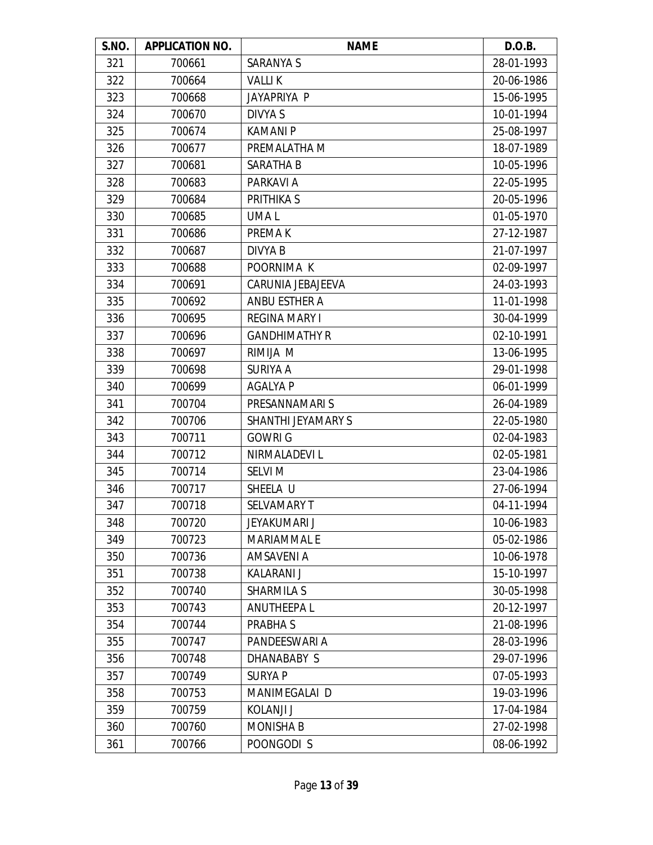| S.NO. | <b>APPLICATION NO.</b> | <b>NAME</b>          | D.O.B.     |
|-------|------------------------|----------------------|------------|
| 321   | 700661                 | <b>SARANYA S</b>     | 28-01-1993 |
| 322   | 700664                 | <b>VALLIK</b>        | 20-06-1986 |
| 323   | 700668                 | JAYAPRIYA P          | 15-06-1995 |
| 324   | 700670                 | DIVYA S              | 10-01-1994 |
| 325   | 700674                 | <b>KAMANIP</b>       | 25-08-1997 |
| 326   | 700677                 | PREMALATHA M         | 18-07-1989 |
| 327   | 700681                 | SARATHA B            | 10-05-1996 |
| 328   | 700683                 | PARKAVI A            | 22-05-1995 |
| 329   | 700684                 | <b>PRITHIKA S</b>    | 20-05-1996 |
| 330   | 700685                 | UMA L                | 01-05-1970 |
| 331   | 700686                 | PREMA K              | 27-12-1987 |
| 332   | 700687                 | <b>DIVYA B</b>       | 21-07-1997 |
| 333   | 700688                 | POORNIMA K           | 02-09-1997 |
| 334   | 700691                 | CARUNIA JEBAJEEVA    | 24-03-1993 |
| 335   | 700692                 | <b>ANBU ESTHER A</b> | 11-01-1998 |
| 336   | 700695                 | <b>REGINA MARY I</b> | 30-04-1999 |
| 337   | 700696                 | <b>GANDHIMATHY R</b> | 02-10-1991 |
| 338   | 700697                 | RIMIJA M             | 13-06-1995 |
| 339   | 700698                 | SURIYA A             | 29-01-1998 |
| 340   | 700699                 | <b>AGALYA P</b>      | 06-01-1999 |
| 341   | 700704                 | PRESANNAMARI S       | 26-04-1989 |
| 342   | 700706                 | SHANTHI JEYAMARY S   | 22-05-1980 |
| 343   | 700711                 | <b>GOWRI G</b>       | 02-04-1983 |
| 344   | 700712                 | NIRMALADEVI L        | 02-05-1981 |
| 345   | 700714                 | <b>SELVI M</b>       | 23-04-1986 |
| 346   | 700717                 | SHEELA U             | 27-06-1994 |
| 347   | 700718                 | <b>SELVAMARY T</b>   | 04-11-1994 |
| 348   | 700720                 | <b>JEYAKUMARI J</b>  | 10-06-1983 |
| 349   | 700723                 | <b>MARIAMMALE</b>    | 05-02-1986 |
| 350   | 700736                 | <b>AMSAVENI A</b>    | 10-06-1978 |
| 351   | 700738                 | KALARANI J           | 15-10-1997 |
| 352   | 700740                 | <b>SHARMILA S</b>    | 30-05-1998 |
| 353   | 700743                 | <b>ANUTHEEPAL</b>    | 20-12-1997 |
| 354   | 700744                 | PRABHA S             | 21-08-1996 |
| 355   | 700747                 | PANDEESWARI A        | 28-03-1996 |
| 356   | 700748                 | DHANABABY S          | 29-07-1996 |
| 357   | 700749                 | <b>SURYAP</b>        | 07-05-1993 |
| 358   | 700753                 | MANIMEGALAI D        | 19-03-1996 |
| 359   | 700759                 | KOLANJI J            | 17-04-1984 |
| 360   | 700760                 | <b>MONISHA B</b>     | 27-02-1998 |
| 361   | 700766                 | POONGODI S           | 08-06-1992 |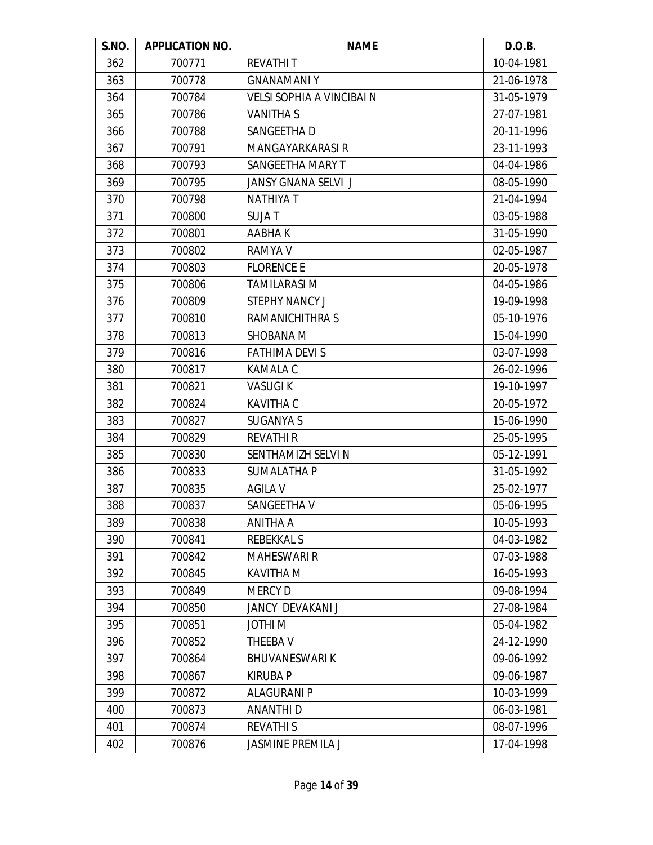| S.NO. | <b>APPLICATION NO.</b> | <b>NAME</b>                      | D.O.B.     |
|-------|------------------------|----------------------------------|------------|
| 362   | 700771                 | <b>REVATHIT</b>                  | 10-04-1981 |
| 363   | 700778                 | <b>GNANAMANIY</b>                | 21-06-1978 |
| 364   | 700784                 | <b>VELSI SOPHIA A VINCIBAI N</b> | 31-05-1979 |
| 365   | 700786                 | <b>VANITHAS</b>                  | 27-07-1981 |
| 366   | 700788                 | SANGEETHA D                      | 20-11-1996 |
| 367   | 700791                 | MANGAYARKARASI R                 | 23-11-1993 |
| 368   | 700793                 | SANGEETHA MARY T                 | 04-04-1986 |
| 369   | 700795                 | <b>JANSY GNANA SELVI J</b>       | 08-05-1990 |
| 370   | 700798                 | <b>NATHIYA T</b>                 | 21-04-1994 |
| 371   | 700800                 | <b>SUJAT</b>                     | 03-05-1988 |
| 372   | 700801                 | AABHA K                          | 31-05-1990 |
| 373   | 700802                 | <b>RAMYA V</b>                   | 02-05-1987 |
| 374   | 700803                 | <b>FLORENCE E</b>                | 20-05-1978 |
| 375   | 700806                 | <b>TAMILARASI M</b>              | 04-05-1986 |
| 376   | 700809                 | <b>STEPHY NANCY J</b>            | 19-09-1998 |
| 377   | 700810                 | RAMANICHITHRA S                  | 05-10-1976 |
| 378   | 700813                 | SHOBANA M                        | 15-04-1990 |
| 379   | 700816                 | <b>FATHIMA DEVI S</b>            | 03-07-1998 |
| 380   | 700817                 | <b>KAMALA C</b>                  | 26-02-1996 |
| 381   | 700821                 | <b>VASUGIK</b>                   | 19-10-1997 |
| 382   | 700824                 | <b>KAVITHA C</b>                 | 20-05-1972 |
| 383   | 700827                 | <b>SUGANYA S</b>                 | 15-06-1990 |
| 384   | 700829                 | <b>REVATHI R</b>                 | 25-05-1995 |
| 385   | 700830                 | SENTHAMIZH SELVI N               | 05-12-1991 |
| 386   | 700833                 | <b>SUMALATHA P</b>               | 31-05-1992 |
| 387   | 700835                 | <b>AGILA V</b>                   | 25-02-1977 |
| 388   | 700837                 | SANGEETHA V                      | 05-06-1995 |
| 389   | 700838                 | ANITHA A                         | 10-05-1993 |
| 390   | 700841                 | <b>REBEKKALS</b>                 | 04-03-1982 |
| 391   | 700842                 | <b>MAHESWARI R</b>               | 07-03-1988 |
| 392   | 700845                 | <b>KAVITHA M</b>                 | 16-05-1993 |
| 393   | 700849                 | <b>MERCY D</b>                   | 09-08-1994 |
| 394   | 700850                 | JANCY DEVAKANI J                 | 27-08-1984 |
| 395   | 700851                 | <b>JOTHIM</b>                    | 05-04-1982 |
| 396   | 700852                 | THEEBA V                         | 24-12-1990 |
| 397   | 700864                 | <b>BHUVANESWARI K</b>            | 09-06-1992 |
| 398   | 700867                 | <b>KIRUBA P</b>                  | 09-06-1987 |
| 399   | 700872                 | <b>ALAGURANI P</b>               | 10-03-1999 |
| 400   | 700873                 | <b>ANANTHID</b>                  | 06-03-1981 |
| 401   | 700874                 | <b>REVATHIS</b>                  | 08-07-1996 |
| 402   | 700876                 | <b>JASMINE PREMILA J</b>         | 17-04-1998 |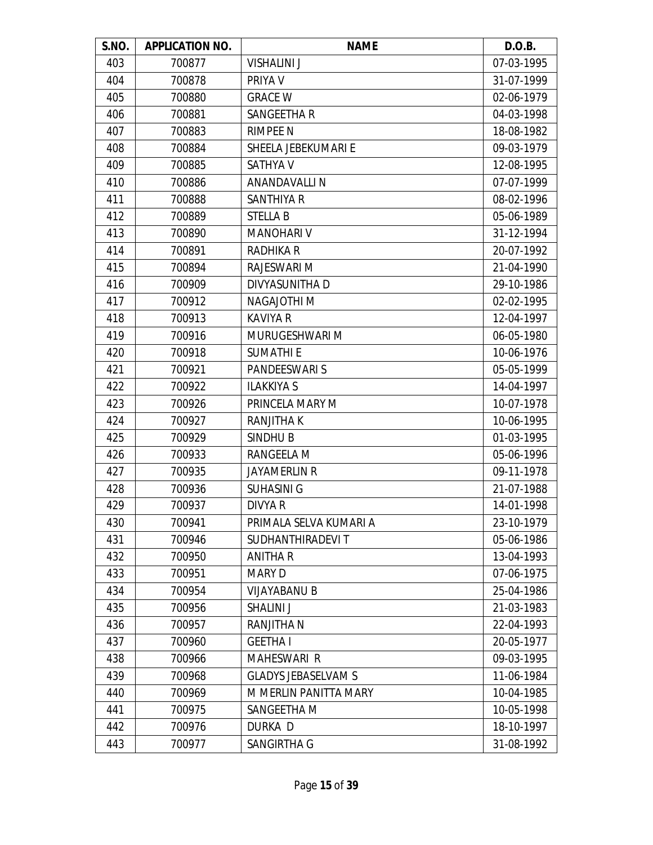| S.NO. | <b>APPLICATION NO.</b> | <b>NAME</b>                | D.O.B.     |
|-------|------------------------|----------------------------|------------|
| 403   | 700877                 | <b>VISHALINI J</b>         | 07-03-1995 |
| 404   | 700878                 | PRIYA V                    | 31-07-1999 |
| 405   | 700880                 | <b>GRACE W</b>             | 02-06-1979 |
| 406   | 700881                 | <b>SANGEETHA R</b>         | 04-03-1998 |
| 407   | 700883                 | <b>RIMPEE N</b>            | 18-08-1982 |
| 408   | 700884                 | SHEELA JEBEKUMARI E        | 09-03-1979 |
| 409   | 700885                 | <b>SATHYA V</b>            | 12-08-1995 |
| 410   | 700886                 | ANANDAVALLI N              | 07-07-1999 |
| 411   | 700888                 | SANTHIYA R                 | 08-02-1996 |
| 412   | 700889                 | <b>STELLA B</b>            | 05-06-1989 |
| 413   | 700890                 | <b>MANOHARI V</b>          | 31-12-1994 |
| 414   | 700891                 | <b>RADHIKA R</b>           | 20-07-1992 |
| 415   | 700894                 | RAJESWARI M                | 21-04-1990 |
| 416   | 700909                 | DIVYASUNITHA D             | 29-10-1986 |
| 417   | 700912                 | <b>NAGAJOTHI M</b>         | 02-02-1995 |
| 418   | 700913                 | <b>KAVIYA R</b>            | 12-04-1997 |
| 419   | 700916                 | MURUGESHWARI M             | 06-05-1980 |
| 420   | 700918                 | <b>SUMATHIE</b>            | 10-06-1976 |
| 421   | 700921                 | <b>PANDEESWARI S</b>       | 05-05-1999 |
| 422   | 700922                 | <b>ILAKKIYA S</b>          | 14-04-1997 |
| 423   | 700926                 | PRINCELA MARY M            | 10-07-1978 |
| 424   | 700927                 | RANJITHA K                 | 10-06-1995 |
| 425   | 700929                 | SINDHU B                   | 01-03-1995 |
| 426   | 700933                 | RANGEELA M                 | 05-06-1996 |
| 427   | 700935                 | <b>JAYAMERLIN R</b>        | 09-11-1978 |
| 428   | 700936                 | <b>SUHASINI G</b>          | 21-07-1988 |
| 429   | 700937                 | DIVYA R                    | 14-01-1998 |
| 430   | 700941                 | PRIMALA SELVA KUMARI A     | 23-10-1979 |
| 431   | 700946                 | SUDHANTHIRADEVI T          | 05-06-1986 |
| 432   | 700950                 | <b>ANITHA R</b>            | 13-04-1993 |
| 433   | 700951                 | <b>MARY D</b>              | 07-06-1975 |
| 434   | 700954                 | <b>VIJAYABANU B</b>        | 25-04-1986 |
| 435   | 700956                 | <b>SHALINI J</b>           | 21-03-1983 |
| 436   | 700957                 | <b>RANJITHA N</b>          | 22-04-1993 |
| 437   | 700960                 | <b>GEETHAI</b>             | 20-05-1977 |
| 438   | 700966                 | <b>MAHESWARI R</b>         | 09-03-1995 |
| 439   | 700968                 | <b>GLADYS JEBASELVAM S</b> | 11-06-1984 |
| 440   | 700969                 | M MERLIN PANITTA MARY      | 10-04-1985 |
| 441   | 700975                 | SANGEETHA M                | 10-05-1998 |
| 442   | 700976                 | DURKA D                    | 18-10-1997 |
| 443   | 700977                 | SANGIRTHA G                | 31-08-1992 |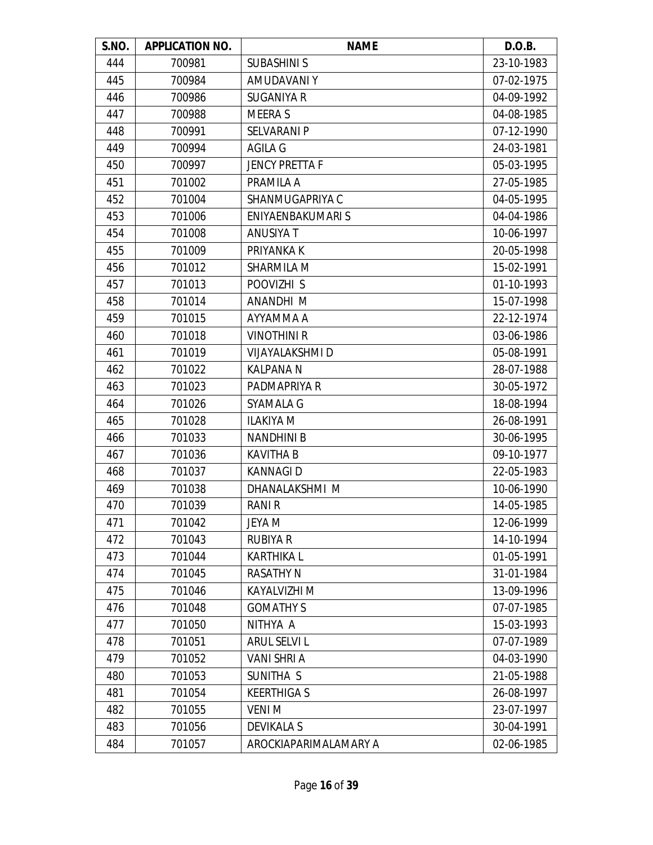| S.NO. | <b>APPLICATION NO.</b> | <b>NAME</b>            | D.O.B.     |
|-------|------------------------|------------------------|------------|
| 444   | 700981                 | <b>SUBASHINI S</b>     | 23-10-1983 |
| 445   | 700984                 | AMUDAVANI Y            | 07-02-1975 |
| 446   | 700986                 | <b>SUGANIYA R</b>      | 04-09-1992 |
| 447   | 700988                 | <b>MEERA S</b>         | 04-08-1985 |
| 448   | 700991                 | <b>SELVARANI P</b>     | 07-12-1990 |
| 449   | 700994                 | <b>AGILA G</b>         | 24-03-1981 |
| 450   | 700997                 | <b>JENCY PRETTA F</b>  | 05-03-1995 |
| 451   | 701002                 | PRAMILA A              | 27-05-1985 |
| 452   | 701004                 | SHANMUGAPRIYA C        | 04-05-1995 |
| 453   | 701006                 | ENIYAENBAKUMARI S      | 04-04-1986 |
| 454   | 701008                 | <b>ANUSIYA T</b>       | 10-06-1997 |
| 455   | 701009                 | PRIYANKA K             | 20-05-1998 |
| 456   | 701012                 | SHARMILA M             | 15-02-1991 |
| 457   | 701013                 | POOVIZHI S             | 01-10-1993 |
| 458   | 701014                 | ANANDHI M              | 15-07-1998 |
| 459   | 701015                 | AYYAMMA A              | 22-12-1974 |
| 460   | 701018                 | <b>VINOTHINI R</b>     | 03-06-1986 |
| 461   | 701019                 | <b>VIJAYALAKSHMI D</b> | 05-08-1991 |
| 462   | 701022                 | <b>KALPANA N</b>       | 28-07-1988 |
| 463   | 701023                 | PADMAPRIYA R           | 30-05-1972 |
| 464   | 701026                 | SYAMALA G              | 18-08-1994 |
| 465   | 701028                 | <b>ILAKIYA M</b>       | 26-08-1991 |
| 466   | 701033                 | <b>NANDHINI B</b>      | 30-06-1995 |
| 467   | 701036                 | <b>KAVITHA B</b>       | 09-10-1977 |
| 468   | 701037                 | <b>KANNAGID</b>        | 22-05-1983 |
| 469   | 701038                 | DHANALAKSHMI M         | 10-06-1990 |
| 470   | 701039                 | RANI R                 | 14-05-1985 |
| 471   | 701042                 | <b>JEYA M</b>          | 12-06-1999 |
| 472   | 701043                 | <b>RUBIYA R</b>        | 14-10-1994 |
| 473   | 701044                 | <b>KARTHIKAL</b>       | 01-05-1991 |
| 474   | 701045                 | <b>RASATHY N</b>       | 31-01-1984 |
| 475   | 701046                 | KAYALVIZHI M           | 13-09-1996 |
| 476   | 701048                 | <b>GOMATHY S</b>       | 07-07-1985 |
| 477   | 701050                 | NITHYA A               | 15-03-1993 |
| 478   | 701051                 | ARUL SELVI L           | 07-07-1989 |
| 479   | 701052                 | VANI SHRI A            | 04-03-1990 |
| 480   | 701053                 | SUNITHA S              | 21-05-1988 |
| 481   | 701054                 | <b>KEERTHIGAS</b>      | 26-08-1997 |
| 482   | 701055                 | <b>VENIM</b>           | 23-07-1997 |
| 483   | 701056                 | <b>DEVIKALA S</b>      | 30-04-1991 |
| 484   | 701057                 | AROCKIAPARIMALAMARY A  | 02-06-1985 |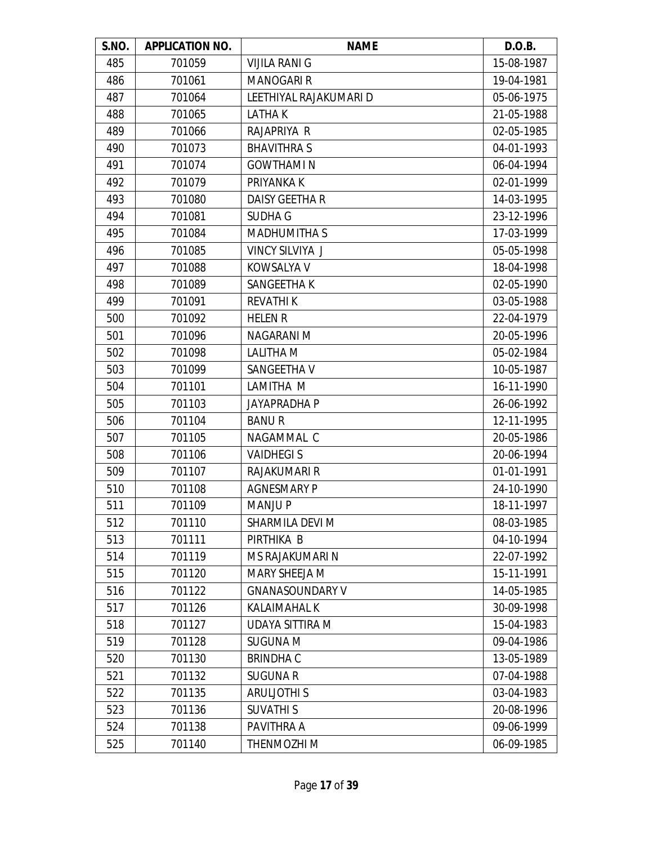| S.NO. | <b>APPLICATION NO.</b> | <b>NAME</b>            | D.O.B.     |
|-------|------------------------|------------------------|------------|
| 485   | 701059                 | <b>VIJILA RANI G</b>   | 15-08-1987 |
| 486   | 701061                 | <b>MANOGARI R</b>      | 19-04-1981 |
| 487   | 701064                 | LEETHIYAL RAJAKUMARI D | 05-06-1975 |
| 488   | 701065                 | LATHA K                | 21-05-1988 |
| 489   | 701066                 | RAJAPRIYA R            | 02-05-1985 |
| 490   | 701073                 | <b>BHAVITHRAS</b>      | 04-01-1993 |
| 491   | 701074                 | <b>GOWTHAMI N</b>      | 06-04-1994 |
| 492   | 701079                 | PRIYANKA K             | 02-01-1999 |
| 493   | 701080                 | <b>DAISY GEETHA R</b>  | 14-03-1995 |
| 494   | 701081                 | <b>SUDHA G</b>         | 23-12-1996 |
| 495   | 701084                 | <b>MADHUMITHA S</b>    | 17-03-1999 |
| 496   | 701085                 | <b>VINCY SILVIYA J</b> | 05-05-1998 |
| 497   | 701088                 | KOWSALYA V             | 18-04-1998 |
| 498   | 701089                 | SANGEETHA K            | 02-05-1990 |
| 499   | 701091                 | <b>REVATHIK</b>        | 03-05-1988 |
| 500   | 701092                 | <b>HELEN R</b>         | 22-04-1979 |
| 501   | 701096                 | NAGARANI M             | 20-05-1996 |
| 502   | 701098                 | <b>LALITHA M</b>       | 05-02-1984 |
| 503   | 701099                 | SANGEETHA V            | 10-05-1987 |
| 504   | 701101                 | LAMITHA M              | 16-11-1990 |
| 505   | 701103                 | <b>JAYAPRADHA P</b>    | 26-06-1992 |
| 506   | 701104                 | <b>BANUR</b>           | 12-11-1995 |
| 507   | 701105                 | NAGAMMAL C             | 20-05-1986 |
| 508   | 701106                 | <b>VAIDHEGIS</b>       | 20-06-1994 |
| 509   | 701107                 | RAJAKUMARI R           | 01-01-1991 |
| 510   | 701108                 | <b>AGNESMARY P</b>     | 24-10-1990 |
| 511   | 701109                 | <b>MANJUP</b>          | 18-11-1997 |
| 512   | 701110                 | SHARMILA DEVI M        | 08-03-1985 |
| 513   | 701111                 | PIRTHIKA B             | 04-10-1994 |
| 514   | 701119                 | MS RAJAKUMARI N        | 22-07-1992 |
| 515   | 701120                 | <b>MARY SHEEJA M</b>   | 15-11-1991 |
| 516   | 701122                 | <b>GNANASOUNDARY V</b> | 14-05-1985 |
| 517   | 701126                 | <b>KALAIMAHAL K</b>    | 30-09-1998 |
| 518   | 701127                 | UDAYA SITTIRA M        | 15-04-1983 |
| 519   | 701128                 | <b>SUGUNA M</b>        | 09-04-1986 |
| 520   | 701130                 | <b>BRINDHAC</b>        | 13-05-1989 |
| 521   | 701132                 | <b>SUGUNA R</b>        | 07-04-1988 |
| 522   | 701135                 | <b>ARULIOTHIS</b>      | 03-04-1983 |
| 523   | 701136                 | <b>SUVATHIS</b>        | 20-08-1996 |
| 524   | 701138                 | PAVITHRA A             | 09-06-1999 |
| 525   | 701140                 | THENMOZHI M            | 06-09-1985 |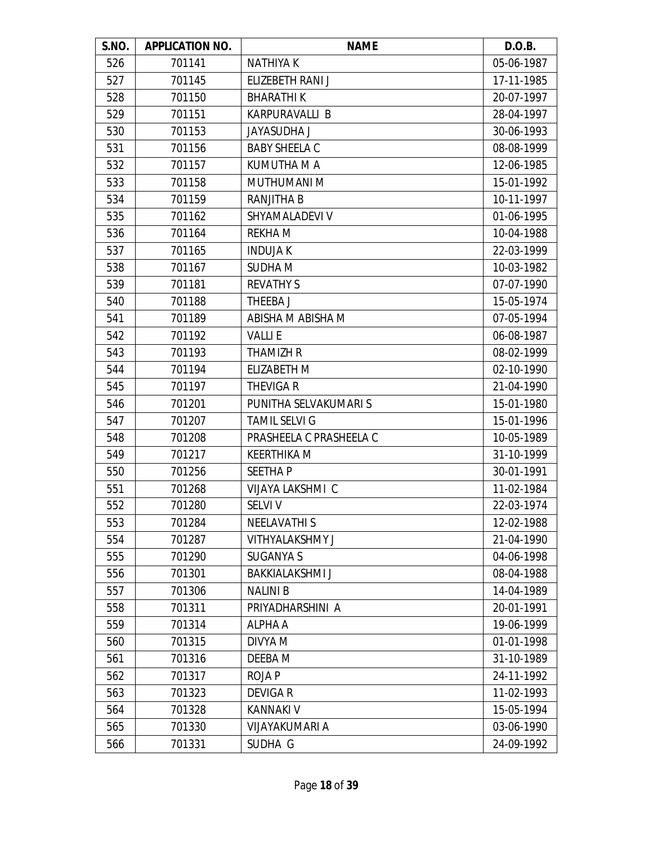| S.NO. | <b>APPLICATION NO.</b> | <b>NAME</b>             | D.O.B.     |
|-------|------------------------|-------------------------|------------|
| 526   | 701141                 | <b>NATHIYAK</b>         | 05-06-1987 |
| 527   | 701145                 | ELIZEBETH RANI J        | 17-11-1985 |
| 528   | 701150                 | <b>BHARATHIK</b>        | 20-07-1997 |
| 529   | 701151                 | KARPURAVALLI B          | 28-04-1997 |
| 530   | 701153                 | <b>JAYASUDHA J</b>      | 30-06-1993 |
| 531   | 701156                 | <b>BABY SHEELA C</b>    | 08-08-1999 |
| 532   | 701157                 | KUMUTHA M A             | 12-06-1985 |
| 533   | 701158                 | MUTHUMANI M             | 15-01-1992 |
| 534   | 701159                 | <b>RANJITHA B</b>       | 10-11-1997 |
| 535   | 701162                 | SHYAMALADEVI V          | 01-06-1995 |
| 536   | 701164                 | <b>REKHAM</b>           | 10-04-1988 |
| 537   | 701165                 | <b>INDUJAK</b>          | 22-03-1999 |
| 538   | 701167                 | SUDHA M                 | 10-03-1982 |
| 539   | 701181                 | <b>REVATHY S</b>        | 07-07-1990 |
| 540   | 701188                 | THEEBA J                | 15-05-1974 |
| 541   | 701189                 | ABISHA M ABISHA M       | 07-05-1994 |
| 542   | 701192                 | <b>VALLIE</b>           | 06-08-1987 |
| 543   | 701193                 | <b>THAMIZH R</b>        | 08-02-1999 |
| 544   | 701194                 | <b>ELIZABETH M</b>      | 02-10-1990 |
| 545   | 701197                 | <b>THEVIGA R</b>        | 21-04-1990 |
| 546   | 701201                 | PUNITHA SELVAKUMARI S   | 15-01-1980 |
| 547   | 701207                 | <b>TAMIL SELVI G</b>    | 15-01-1996 |
| 548   | 701208                 | PRASHEELA C PRASHEELA C | 10-05-1989 |
| 549   | 701217                 | <b>KEERTHIKA M</b>      | 31-10-1999 |
| 550   | 701256                 | <b>SEETHAP</b>          | 30-01-1991 |
| 551   | 701268                 | VIJAYA LAKSHMI C        | 11-02-1984 |
| 552   | 701280                 | <b>SELVI V</b>          | 22-03-1974 |
| 553   | 701284                 | <b>NEELAVATHIS</b>      | 12-02-1988 |
| 554   | 701287                 | <b>VITHYALAKSHMY J</b>  | 21-04-1990 |
| 555   | 701290                 | <b>SUGANYA S</b>        | 04-06-1998 |
| 556   | 701301                 | <b>BAKKIALAKSHMI J</b>  | 08-04-1988 |
| 557   | 701306                 | <b>NALINI B</b>         | 14-04-1989 |
| 558   | 701311                 | PRIYADHARSHINI A        | 20-01-1991 |
| 559   | 701314                 | ALPHA A                 | 19-06-1999 |
| 560   | 701315                 | DIVYA M                 | 01-01-1998 |
| 561   | 701316                 | DEEBA M                 | 31-10-1989 |
| 562   | 701317                 | <b>ROJAP</b>            | 24-11-1992 |
| 563   | 701323                 | <b>DEVIGAR</b>          | 11-02-1993 |
| 564   | 701328                 | <b>KANNAKI V</b>        | 15-05-1994 |
| 565   | 701330                 | VIJAYAKUMARI A          | 03-06-1990 |
| 566   | 701331                 | SUDHA G                 | 24-09-1992 |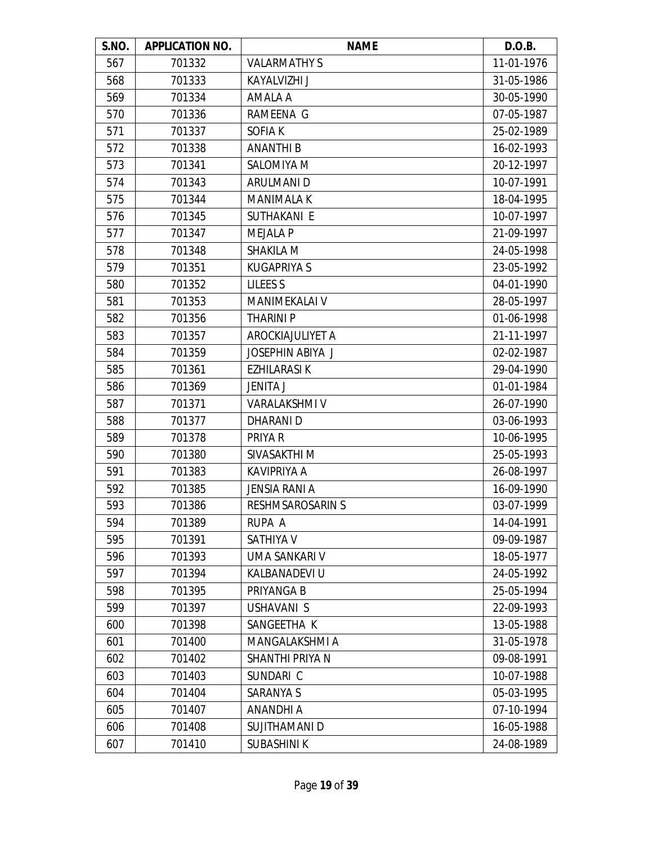| S.NO. | <b>APPLICATION NO.</b> | <b>NAME</b>             | D.O.B.     |
|-------|------------------------|-------------------------|------------|
| 567   | 701332                 | <b>VALARMATHY S</b>     | 11-01-1976 |
| 568   | 701333                 | <b>KAYALVIZHI J</b>     | 31-05-1986 |
| 569   | 701334                 | AMALA A                 | 30-05-1990 |
| 570   | 701336                 | RAMEENA G               | 07-05-1987 |
| 571   | 701337                 | <b>SOFIAK</b>           | 25-02-1989 |
| 572   | 701338                 | <b>ANANTHI B</b>        | 16-02-1993 |
| 573   | 701341                 | <b>SALOMIYA M</b>       | 20-12-1997 |
| 574   | 701343                 | ARULMANI D              | 10-07-1991 |
| 575   | 701344                 | <b>MANIMALA K</b>       | 18-04-1995 |
| 576   | 701345                 | SUTHAKANI E             | 10-07-1997 |
| 577   | 701347                 | <b>MEJALA P</b>         | 21-09-1997 |
| 578   | 701348                 | SHAKILA M               | 24-05-1998 |
| 579   | 701351                 | <b>KUGAPRIYA S</b>      | 23-05-1992 |
| 580   | 701352                 | <b>LILEES S</b>         | 04-01-1990 |
| 581   | 701353                 | MANIMEKALAI V           | 28-05-1997 |
| 582   | 701356                 | <b>THARINI P</b>        | 01-06-1998 |
| 583   | 701357                 | AROCKIAJULIYET A        | 21-11-1997 |
| 584   | 701359                 | JOSEPHIN ABIYA J        | 02-02-1987 |
| 585   | 701361                 | EZHILARASI K            | 29-04-1990 |
| 586   | 701369                 | <b>JENITA J</b>         | 01-01-1984 |
| 587   | 701371                 | <b>VARALAKSHMI V</b>    | 26-07-1990 |
| 588   | 701377                 | DHARANI D               | 03-06-1993 |
| 589   | 701378                 | PRIYA R                 | 10-06-1995 |
| 590   | 701380                 | SIVASAKTHI M            | 25-05-1993 |
| 591   | 701383                 | <b>KAVIPRIYA A</b>      | 26-08-1997 |
| 592   | 701385                 | <b>JENSIA RANI A</b>    | 16-09-1990 |
| 593   | 701386                 | <b>RESHMSAROSARIN S</b> | 03-07-1999 |
| 594   | 701389                 | RUPA A                  | 14-04-1991 |
| 595   | 701391                 | SATHIYA V               | 09-09-1987 |
| 596   | 701393                 | UMA SANKARI V           | 18-05-1977 |
| 597   | 701394                 | KALBANADEVI U           | 24-05-1992 |
| 598   | 701395                 | PRIYANGA B              | 25-05-1994 |
| 599   | 701397                 | USHAVANI S              | 22-09-1993 |
| 600   | 701398                 | SANGEETHA K             | 13-05-1988 |
| 601   | 701400                 | MANGALAKSHMI A          | 31-05-1978 |
| 602   | 701402                 | SHANTHI PRIYA N         | 09-08-1991 |
| 603   | 701403                 | SUNDARI C               | 10-07-1988 |
| 604   | 701404                 | SARANYA S               | 05-03-1995 |
| 605   | 701407                 | <b>ANANDHI A</b>        | 07-10-1994 |
| 606   | 701408                 | SUJITHAMANI D           | 16-05-1988 |
| 607   | 701410                 | <b>SUBASHINIK</b>       | 24-08-1989 |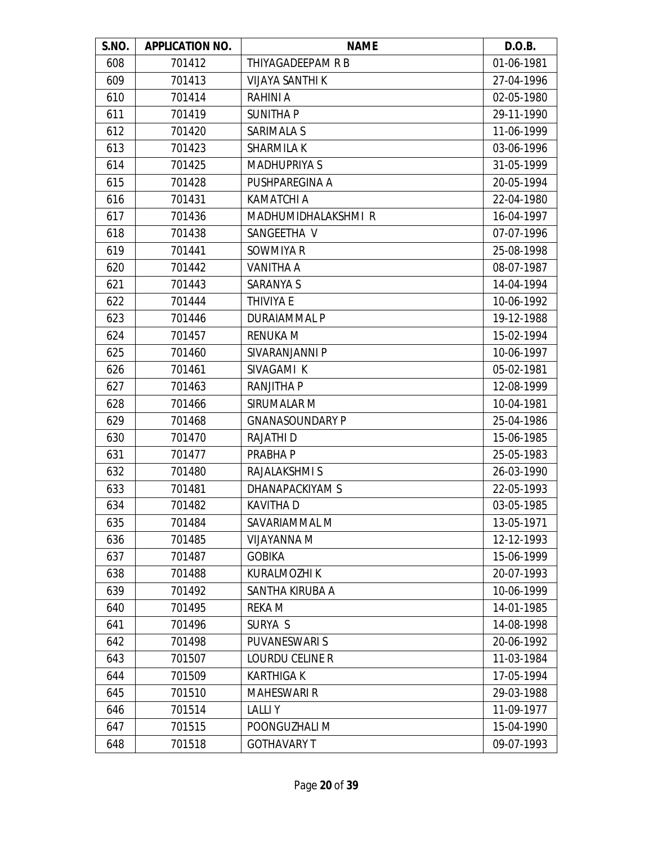| S.NO. | <b>APPLICATION NO.</b> | <b>NAME</b>            | D.O.B.     |
|-------|------------------------|------------------------|------------|
| 608   | 701412                 | THIYAGADEEPAM R B      | 01-06-1981 |
| 609   | 701413                 | <b>VIJAYA SANTHI K</b> | 27-04-1996 |
| 610   | 701414                 | <b>RAHINI A</b>        | 02-05-1980 |
| 611   | 701419                 | <b>SUNITHAP</b>        | 29-11-1990 |
| 612   | 701420                 | SARIMALA S             | 11-06-1999 |
| 613   | 701423                 | <b>SHARMILA K</b>      | 03-06-1996 |
| 614   | 701425                 | <b>MADHUPRIYA S</b>    | 31-05-1999 |
| 615   | 701428                 | PUSHPAREGINA A         | 20-05-1994 |
| 616   | 701431                 | <b>KAMATCHI A</b>      | 22-04-1980 |
| 617   | 701436                 | MADHUMIDHALAKSHMI R    | 16-04-1997 |
| 618   | 701438                 | SANGEETHA V            | 07-07-1996 |
| 619   | 701441                 | SOWMIYA R              | 25-08-1998 |
| 620   | 701442                 | VANITHA A              | 08-07-1987 |
| 621   | 701443                 | SARANYA S              | 14-04-1994 |
| 622   | 701444                 | THIVIYA E              | 10-06-1992 |
| 623   | 701446                 | DURAIAMMAL P           | 19-12-1988 |
| 624   | 701457                 | <b>RENUKA M</b>        | 15-02-1994 |
| 625   | 701460                 | SIVARANJANNI P         | 10-06-1997 |
| 626   | 701461                 | SIVAGAMI K             | 05-02-1981 |
| 627   | 701463                 | <b>RANJITHA P</b>      | 12-08-1999 |
| 628   | 701466                 | SIRUMALAR M            | 10-04-1981 |
| 629   | 701468                 | <b>GNANASOUNDARY P</b> | 25-04-1986 |
| 630   | 701470                 | RAJATHI D              | 15-06-1985 |
| 631   | 701477                 | PRABHA P               | 25-05-1983 |
| 632   | 701480                 | RAJALAKSHMI S          | 26-03-1990 |
| 633   | 701481                 | DHANAPACKIYAM S        | 22-05-1993 |
| 634   | 701482                 | <b>KAVITHA D</b>       | 03-05-1985 |
| 635   | 701484                 | SAVARIAMMAL M          | 13-05-1971 |
| 636   | 701485                 | VIJAYANNA M            | 12-12-1993 |
| 637   | 701487                 | <b>GOBIKA</b>          | 15-06-1999 |
| 638   | 701488                 | <b>KURALMOZHI K</b>    | 20-07-1993 |
| 639   | 701492                 | SANTHA KIRUBA A        | 10-06-1999 |
| 640   | 701495                 | REKA M                 | 14-01-1985 |
| 641   | 701496                 | SURYA S                | 14-08-1998 |
| 642   | 701498                 | <b>PUVANESWARIS</b>    | 20-06-1992 |
| 643   | 701507                 | <b>LOURDU CELINE R</b> | 11-03-1984 |
| 644   | 701509                 | <b>KARTHIGAK</b>       | 17-05-1994 |
| 645   | 701510                 | <b>MAHESWARI R</b>     | 29-03-1988 |
| 646   | 701514                 | <b>LALLIY</b>          | 11-09-1977 |
| 647   | 701515                 | POONGUZHALI M          | 15-04-1990 |
| 648   | 701518                 | <b>GOTHAVARY T</b>     | 09-07-1993 |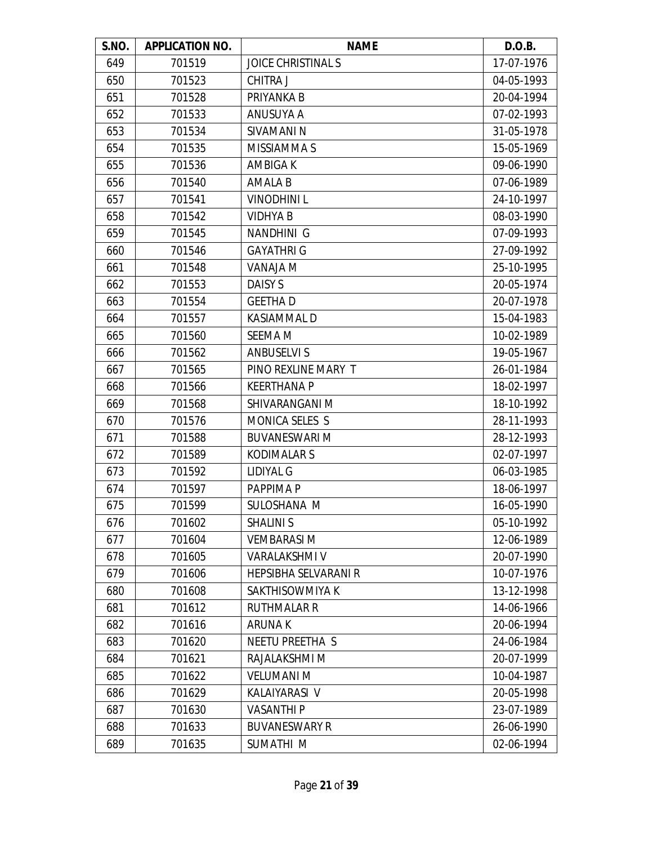| S.NO. | <b>APPLICATION NO.</b> | <b>NAME</b>               | D.O.B.     |
|-------|------------------------|---------------------------|------------|
| 649   | 701519                 | <b>JOICE CHRISTINAL S</b> | 17-07-1976 |
| 650   | 701523                 | <b>CHITRA J</b>           | 04-05-1993 |
| 651   | 701528                 | PRIYANKA B                | 20-04-1994 |
| 652   | 701533                 | ANUSUYA A                 | 07-02-1993 |
| 653   | 701534                 | SIVAMANI N                | 31-05-1978 |
| 654   | 701535                 | MISSIAMMA S               | 15-05-1969 |
| 655   | 701536                 | <b>AMBIGAK</b>            | 09-06-1990 |
| 656   | 701540                 | <b>AMALA B</b>            | 07-06-1989 |
| 657   | 701541                 | <b>VINODHINIL</b>         | 24-10-1997 |
| 658   | 701542                 | <b>VIDHYA B</b>           | 08-03-1990 |
| 659   | 701545                 | NANDHINI G                | 07-09-1993 |
| 660   | 701546                 | <b>GAYATHRI G</b>         | 27-09-1992 |
| 661   | 701548                 | <b>VANAJA M</b>           | 25-10-1995 |
| 662   | 701553                 | <b>DAISY S</b>            | 20-05-1974 |
| 663   | 701554                 | <b>GEETHAD</b>            | 20-07-1978 |
| 664   | 701557                 | <b>KASIAMMALD</b>         | 15-04-1983 |
| 665   | 701560                 | <b>SEEMA M</b>            | 10-02-1989 |
| 666   | 701562                 | <b>ANBUSELVI S</b>        | 19-05-1967 |
| 667   | 701565                 | PINO REXLINE MARY T       | 26-01-1984 |
| 668   | 701566                 | <b>KEERTHANA P</b>        | 18-02-1997 |
| 669   | 701568                 | SHIVARANGANI M            | 18-10-1992 |
| 670   | 701576                 | MONICA SELES S            | 28-11-1993 |
| 671   | 701588                 | <b>BUVANESWARI M</b>      | 28-12-1993 |
| 672   | 701589                 | <b>KODIMALARS</b>         | 02-07-1997 |
| 673   | 701592                 | LIDIYAL G                 | 06-03-1985 |
| 674   | 701597                 | PAPPIMA P                 | 18-06-1997 |
| 675   | 701599                 | SULOSHANA M               | 16-05-1990 |
| 676   | 701602                 | <b>SHALINI S</b>          | 05-10-1992 |
| 677   | 701604                 | <b>VEMBARASI M</b>        | 12-06-1989 |
| 678   | 701605                 | <b>VARALAKSHMI V</b>      | 20-07-1990 |
| 679   | 701606                 | HEPSIBHA SELVARANI R      | 10-07-1976 |
| 680   | 701608                 | SAKTHISOWMIYA K           | 13-12-1998 |
| 681   | 701612                 | <b>RUTHMALAR R</b>        | 14-06-1966 |
| 682   | 701616                 | ARUNA K                   | 20-06-1994 |
| 683   | 701620                 | <b>NEETU PREETHA S</b>    | 24-06-1984 |
| 684   | 701621                 | RAJALAKSHMI M             | 20-07-1999 |
| 685   | 701622                 | <b>VELUMANI M</b>         | 10-04-1987 |
| 686   | 701629                 | KALAIYARASI V             | 20-05-1998 |
| 687   | 701630                 | <b>VASANTHIP</b>          | 23-07-1989 |
| 688   | 701633                 | <b>BUVANESWARY R</b>      | 26-06-1990 |
| 689   | 701635                 | SUMATHI M                 | 02-06-1994 |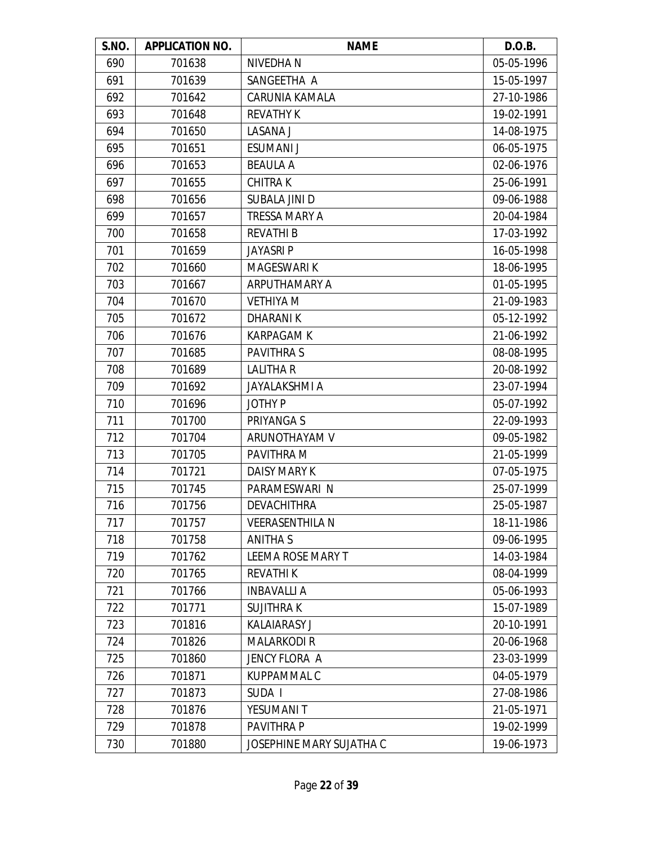| S.NO. | <b>APPLICATION NO.</b> | <b>NAME</b>              | D.O.B.     |
|-------|------------------------|--------------------------|------------|
| 690   | 701638                 | NIVEDHA N                | 05-05-1996 |
| 691   | 701639                 | SANGEETHA A              | 15-05-1997 |
| 692   | 701642                 | <b>CARUNIA KAMALA</b>    | 27-10-1986 |
| 693   | 701648                 | <b>REVATHY K</b>         | 19-02-1991 |
| 694   | 701650                 | LASANA J                 | 14-08-1975 |
| 695   | 701651                 | <b>ESUMANI J</b>         | 06-05-1975 |
| 696   | 701653                 | <b>BEAULA A</b>          | 02-06-1976 |
| 697   | 701655                 | <b>CHITRAK</b>           | 25-06-1991 |
| 698   | 701656                 | SUBALA JINI D            | 09-06-1988 |
| 699   | 701657                 | <b>TRESSA MARY A</b>     | 20-04-1984 |
| 700   | 701658                 | <b>REVATHI B</b>         | 17-03-1992 |
| 701   | 701659                 | <b>JAYASRIP</b>          | 16-05-1998 |
| 702   | 701660                 | <b>MAGESWARI K</b>       | 18-06-1995 |
| 703   | 701667                 | ARPUTHAMARY A            | 01-05-1995 |
| 704   | 701670                 | <b>VETHIYA M</b>         | 21-09-1983 |
| 705   | 701672                 | <b>DHARANIK</b>          | 05-12-1992 |
| 706   | 701676                 | <b>KARPAGAM K</b>        | 21-06-1992 |
| 707   | 701685                 | <b>PAVITHRAS</b>         | 08-08-1995 |
| 708   | 701689                 | <b>LALITHA R</b>         | 20-08-1992 |
| 709   | 701692                 | <b>JAYALAKSHMI A</b>     | 23-07-1994 |
| 710   | 701696                 | <b>JOTHY P</b>           | 05-07-1992 |
| 711   | 701700                 | PRIYANGA S               | 22-09-1993 |
| 712   | 701704                 | ARUNOTHAYAM V            | 09-05-1982 |
| 713   | 701705                 | PAVITHRA M               | 21-05-1999 |
| 714   | 701721                 | <b>DAISY MARY K</b>      | 07-05-1975 |
| 715   | 701745                 | PARAMESWARI N            | 25-07-1999 |
| 716   | 701756                 | <b>DEVACHITHRA</b>       | 25-05-1987 |
| 717   | 701757                 | <b>VEERASENTHILA N</b>   | 18-11-1986 |
| 718   | 701758                 | <b>ANITHAS</b>           | 09-06-1995 |
| 719   | 701762                 | LEEMA ROSE MARY T        | 14-03-1984 |
| 720   | 701765                 | <b>REVATHIK</b>          | 08-04-1999 |
| 721   | 701766                 | <b>INBAVALLI A</b>       | 05-06-1993 |
| 722   | 701771                 | <b>SUJITHRAK</b>         | 15-07-1989 |
| 723   | 701816                 | <b>KALAIARASY J</b>      | 20-10-1991 |
| 724   | 701826                 | <b>MALARKODIR</b>        | 20-06-1968 |
| 725   | 701860                 | JENCY FLORA A            | 23-03-1999 |
| 726   | 701871                 | <b>KUPPAMMAL C</b>       | 04-05-1979 |
| 727   | 701873                 | SUDA I                   | 27-08-1986 |
| 728   | 701876                 | YESUMANI T               | 21-05-1971 |
| 729   | 701878                 | PAVITHRA P               | 19-02-1999 |
| 730   | 701880                 | JOSEPHINE MARY SUJATHA C | 19-06-1973 |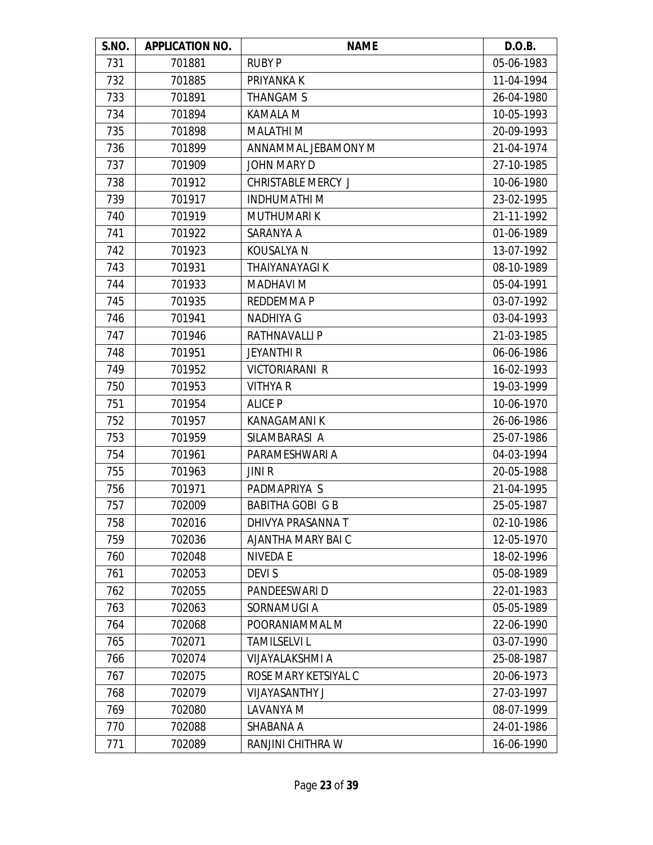| S.NO. | <b>APPLICATION NO.</b> | <b>NAME</b>               | D.O.B.     |
|-------|------------------------|---------------------------|------------|
| 731   | 701881                 | <b>RUBY P</b>             | 05-06-1983 |
| 732   | 701885                 | PRIYANKA K                | 11-04-1994 |
| 733   | 701891                 | THANGAM S                 | 26-04-1980 |
| 734   | 701894                 | KAMALA M                  | 10-05-1993 |
| 735   | 701898                 | <b>MALATHIM</b>           | 20-09-1993 |
| 736   | 701899                 | ANNAMMAL JEBAMONY M       | 21-04-1974 |
| 737   | 701909                 | <b>JOHN MARY D</b>        | 27-10-1985 |
| 738   | 701912                 | <b>CHRISTABLE MERCY J</b> | 10-06-1980 |
| 739   | 701917                 | <b>INDHUMATHIM</b>        | 23-02-1995 |
| 740   | 701919                 | <b>MUTHUMARIK</b>         | 21-11-1992 |
| 741   | 701922                 | SARANYA A                 | 01-06-1989 |
| 742   | 701923                 | <b>KOUSALYA N</b>         | 13-07-1992 |
| 743   | 701931                 | <b>THAIYANAYAGI K</b>     | 08-10-1989 |
| 744   | 701933                 | <b>MADHAVI M</b>          | 05-04-1991 |
| 745   | 701935                 | REDDEMMA P                | 03-07-1992 |
| 746   | 701941                 | <b>NADHIYA G</b>          | 03-04-1993 |
| 747   | 701946                 | <b>RATHNAVALLI P</b>      | 21-03-1985 |
| 748   | 701951                 | <b>JEYANTHI R</b>         | 06-06-1986 |
| 749   | 701952                 | <b>VICTORIARANI R</b>     | 16-02-1993 |
| 750   | 701953                 | <b>VITHYA R</b>           | 19-03-1999 |
| 751   | 701954                 | <b>ALICE P</b>            | 10-06-1970 |
| 752   | 701957                 | KANAGAMANI K              | 26-06-1986 |
| 753   | 701959                 | SILAMBARASI A             | 25-07-1986 |
| 754   | 701961                 | PARAMESHWARI A            | 04-03-1994 |
| 755   | 701963                 | <b>JINIR</b>              | 20-05-1988 |
| 756   | 701971                 | PADMAPRIYA S              | 21-04-1995 |
| 757   | 702009                 | <b>BABITHA GOBI G B</b>   | 25-05-1987 |
| 758   | 702016                 | DHIVYA PRASANNA T         | 02-10-1986 |
| 759   | 702036                 | AJANTHA MARY BAI C        | 12-05-1970 |
| 760   | 702048                 | <b>NIVEDA E</b>           | 18-02-1996 |
| 761   | 702053                 | <b>DEVIS</b>              | 05-08-1989 |
| 762   | 702055                 | PANDEESWARI D             | 22-01-1983 |
| 763   | 702063                 | SORNAMUGI A               | 05-05-1989 |
| 764   | 702068                 | POORANIAMMAL M            | 22-06-1990 |
| 765   | 702071                 | <b>TAMILSELVI L</b>       | 03-07-1990 |
| 766   | 702074                 | VIJAYALAKSHMI A           | 25-08-1987 |
| 767   | 702075                 | ROSE MARY KETSIYAL C      | 20-06-1973 |
| 768   | 702079                 | <b>VIJAYASANTHY J</b>     | 27-03-1997 |
| 769   | 702080                 | LAVANYA M                 | 08-07-1999 |
| 770   | 702088                 | SHABANA A                 | 24-01-1986 |
| 771   | 702089                 | RANJINI CHITHRA W         | 16-06-1990 |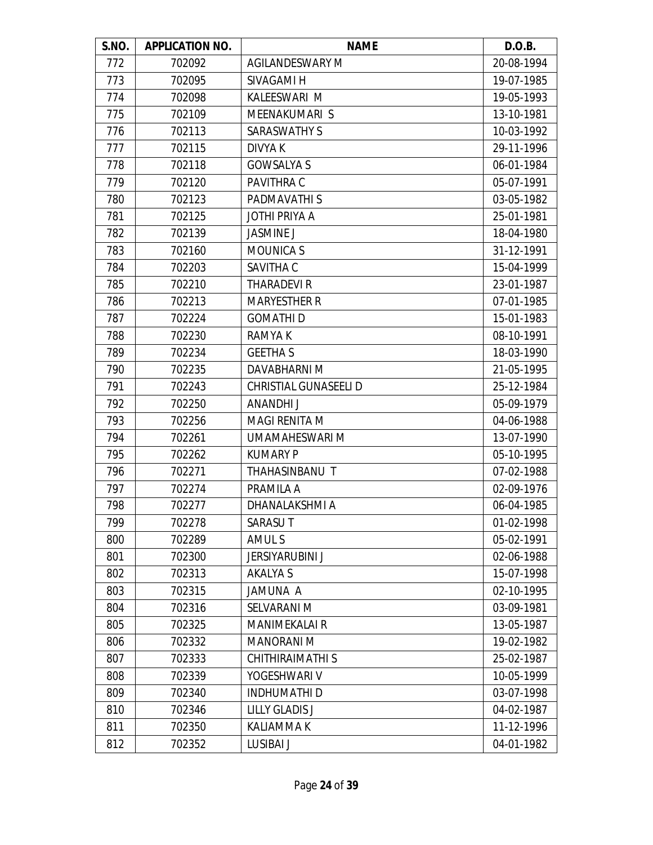| S.NO. | <b>APPLICATION NO.</b> | <b>NAME</b>            | D.O.B.     |
|-------|------------------------|------------------------|------------|
| 772   | 702092                 | <b>AGILANDESWARY M</b> | 20-08-1994 |
| 773   | 702095                 | SIVAGAMI H             | 19-07-1985 |
| 774   | 702098                 | KALEESWARI M           | 19-05-1993 |
| 775   | 702109                 | MEENAKUMARI S          | 13-10-1981 |
| 776   | 702113                 | <b>SARASWATHY S</b>    | 10-03-1992 |
| 777   | 702115                 | <b>DIVYAK</b>          | 29-11-1996 |
| 778   | 702118                 | <b>GOWSALYA S</b>      | 06-01-1984 |
| 779   | 702120                 | PAVITHRA C             | 05-07-1991 |
| 780   | 702123                 | PADMAVATHI S           | 03-05-1982 |
| 781   | 702125                 | <b>JOTHI PRIYA A</b>   | 25-01-1981 |
| 782   | 702139                 | <b>JASMINE J</b>       | 18-04-1980 |
| 783   | 702160                 | <b>MOUNICA S</b>       | 31-12-1991 |
| 784   | 702203                 | SAVITHA C              | 15-04-1999 |
| 785   | 702210                 | <b>THARADEVIR</b>      | 23-01-1987 |
| 786   | 702213                 | <b>MARYESTHER R</b>    | 07-01-1985 |
| 787   | 702224                 | <b>GOMATHID</b>        | 15-01-1983 |
| 788   | 702230                 | RAMYA K                | 08-10-1991 |
| 789   | 702234                 | <b>GEETHA S</b>        | 18-03-1990 |
| 790   | 702235                 | DAVABHARNI M           | 21-05-1995 |
| 791   | 702243                 | CHRISTIAL GUNASEELI D  | 25-12-1984 |
| 792   | 702250                 | ANANDHI J              | 05-09-1979 |
| 793   | 702256                 | <b>MAGI RENITA M</b>   | 04-06-1988 |
| 794   | 702261                 | UMAMAHESWARI M         | 13-07-1990 |
| 795   | 702262                 | <b>KUMARY P</b>        | 05-10-1995 |
| 796   | 702271                 | THAHASINBANU T         | 07-02-1988 |
| 797   | 702274                 | PRAMILA A              | 02-09-1976 |
| 798   | 702277                 | DHANALAKSHMI A         | 06-04-1985 |
| 799   | 702278                 | <b>SARASUT</b>         | 01-02-1998 |
| 800   | 702289                 | AMUL S                 | 05-02-1991 |
| 801   | 702300                 | <b>JERSIYARUBINI J</b> | 02-06-1988 |
| 802   | 702313                 | <b>AKALYA S</b>        | 15-07-1998 |
| 803   | 702315                 | JAMUNA A               | 02-10-1995 |
| 804   | 702316                 | SELVARANI M            | 03-09-1981 |
| 805   | 702325                 | <b>MANIMEKALAI R</b>   | 13-05-1987 |
| 806   | 702332                 | <b>MANORANI M</b>      | 19-02-1982 |
| 807   | 702333                 | CHITHIRAIMATHI S       | 25-02-1987 |
| 808   | 702339                 | YOGESHWARI V           | 10-05-1999 |
| 809   | 702340                 | <b>INDHUMATHI D</b>    | 03-07-1998 |
| 810   | 702346                 | <b>LILLY GLADIS J</b>  | 04-02-1987 |
| 811   | 702350                 | <b>KALIAMMAK</b>       | 11-12-1996 |
| 812   | 702352                 | <b>LUSIBAI J</b>       | 04-01-1982 |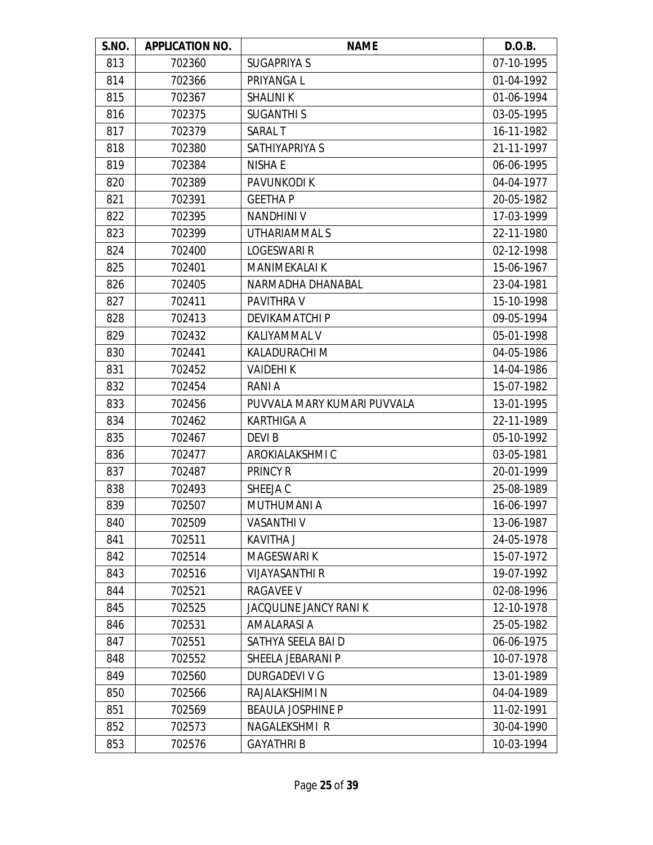| S.NO. | <b>APPLICATION NO.</b> | <b>NAME</b>                 | D.O.B.     |
|-------|------------------------|-----------------------------|------------|
| 813   | 702360                 | <b>SUGAPRIYA S</b>          | 07-10-1995 |
| 814   | 702366                 | PRIYANGA L                  | 01-04-1992 |
| 815   | 702367                 | <b>SHALINI K</b>            | 01-06-1994 |
| 816   | 702375                 | <b>SUGANTHIS</b>            | 03-05-1995 |
| 817   | 702379                 | <b>SARALT</b>               | 16-11-1982 |
| 818   | 702380                 | SATHIYAPRIYA S              | 21-11-1997 |
| 819   | 702384                 | <b>NISHA E</b>              | 06-06-1995 |
| 820   | 702389                 | PAVUNKODI K                 | 04-04-1977 |
| 821   | 702391                 | <b>GEETHAP</b>              | 20-05-1982 |
| 822   | 702395                 | <b>NANDHINI V</b>           | 17-03-1999 |
| 823   | 702399                 | UTHARIAMMAL S               | 22-11-1980 |
| 824   | 702400                 | <b>LOGESWARI R</b>          | 02-12-1998 |
| 825   | 702401                 | <b>MANIMEKALAI K</b>        | 15-06-1967 |
| 826   | 702405                 | NARMADHA DHANABAL           | 23-04-1981 |
| 827   | 702411                 | PAVITHRA V                  | 15-10-1998 |
| 828   | 702413                 | DEVIKAMATCHI P              | 09-05-1994 |
| 829   | 702432                 | KALIYAMMAL V                | 05-01-1998 |
| 830   | 702441                 | KALADURACHI M               | 04-05-1986 |
| 831   | 702452                 | <b>VAIDEHIK</b>             | 14-04-1986 |
| 832   | 702454                 | RANI A                      | 15-07-1982 |
| 833   | 702456                 | PUVVALA MARY KUMARI PUVVALA | 13-01-1995 |
| 834   | 702462                 | <b>KARTHIGA A</b>           | 22-11-1989 |
| 835   | 702467                 | DEVI B                      | 05-10-1992 |
| 836   | 702477                 | AROKIALAKSHMI C             | 03-05-1981 |
| 837   | 702487                 | PRINCY R                    | 20-01-1999 |
| 838   | 702493                 | SHEEJA C                    | 25-08-1989 |
| 839   | 702507                 | <b>MUTHUMANI A</b>          | 16-06-1997 |
| 840   | 702509                 | <b>VASANTHI V</b>           | 13-06-1987 |
| 841   | 702511                 | <b>KAVITHA J</b>            | 24-05-1978 |
| 842   | 702514                 | <b>MAGESWARI K</b>          | 15-07-1972 |
| 843   | 702516                 | <b>VIJAYASANTHI R</b>       | 19-07-1992 |
| 844   | 702521                 | <b>RAGAVEE V</b>            | 02-08-1996 |
| 845   | 702525                 | JACQULINE JANCY RANI K      | 12-10-1978 |
| 846   | 702531                 | <b>AMALARASI A</b>          | 25-05-1982 |
| 847   | 702551                 | SATHYA SEELA BAI D          | 06-06-1975 |
| 848   | 702552                 | SHEELA JEBARANI P           | 10-07-1978 |
| 849   | 702560                 | DURGADEVI V G               | 13-01-1989 |
| 850   | 702566                 | RAJALAKSHIMI N              | 04-04-1989 |
| 851   | 702569                 | <b>BEAULA JOSPHINE P</b>    | 11-02-1991 |
| 852   | 702573                 | NAGALEKSHMI R               | 30-04-1990 |
| 853   | 702576                 | <b>GAYATHRIB</b>            | 10-03-1994 |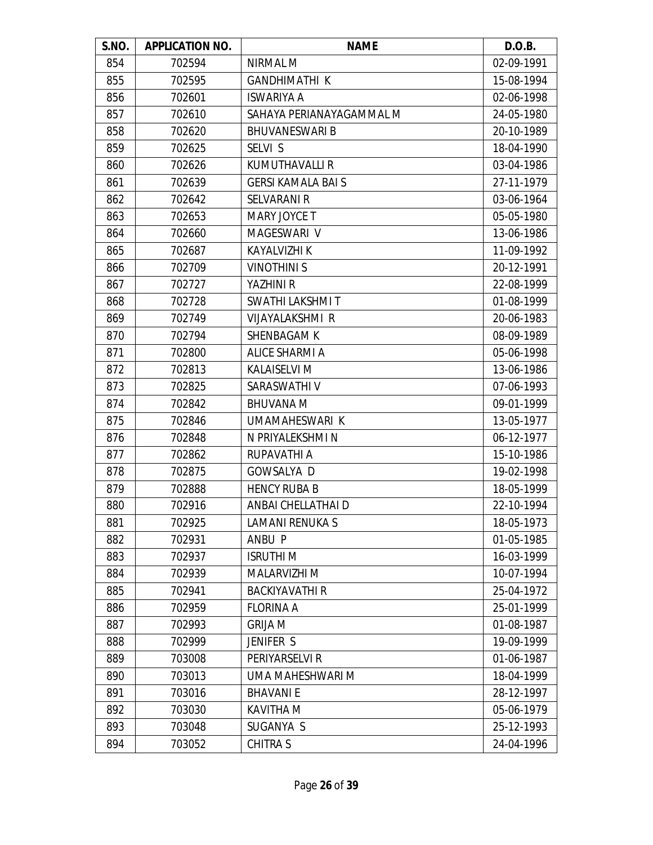| S.NO. | <b>APPLICATION NO.</b> | <b>NAME</b>               | D.O.B.     |
|-------|------------------------|---------------------------|------------|
| 854   | 702594                 | NIRMAL M                  | 02-09-1991 |
| 855   | 702595                 | <b>GANDHIMATHI K</b>      | 15-08-1994 |
| 856   | 702601                 | <b>ISWARIYA A</b>         | 02-06-1998 |
| 857   | 702610                 | SAHAYA PERIANAYAGAMMAL M  | 24-05-1980 |
| 858   | 702620                 | <b>BHUVANESWARI B</b>     | 20-10-1989 |
| 859   | 702625                 | SELVI S                   | 18-04-1990 |
| 860   | 702626                 | <b>KUMUTHAVALLI R</b>     | 03-04-1986 |
| 861   | 702639                 | <b>GERSI KAMALA BAI S</b> | 27-11-1979 |
| 862   | 702642                 | <b>SELVARANI R</b>        | 03-06-1964 |
| 863   | 702653                 | MARY JOYCE T              | 05-05-1980 |
| 864   | 702660                 | MAGESWARI V               | 13-06-1986 |
| 865   | 702687                 | <b>KAYALVIZHI K</b>       | 11-09-1992 |
| 866   | 702709                 | <b>VINOTHINIS</b>         | 20-12-1991 |
| 867   | 702727                 | YAZHINI R                 | 22-08-1999 |
| 868   | 702728                 | SWATHI LAKSHMI T          | 01-08-1999 |
| 869   | 702749                 | VIJAYALAKSHMI R           | 20-06-1983 |
| 870   | 702794                 | <b>SHENBAGAM K</b>        | 08-09-1989 |
| 871   | 702800                 | <b>ALICE SHARMI A</b>     | 05-06-1998 |
| 872   | 702813                 | <b>KALAISELVI M</b>       | 13-06-1986 |
| 873   | 702825                 | SARASWATHI V              | 07-06-1993 |
| 874   | 702842                 | <b>BHUVANA M</b>          | 09-01-1999 |
| 875   | 702846                 | UMAMAHESWARI K            | 13-05-1977 |
| 876   | 702848                 | N PRIYALEKSHMI N          | 06-12-1977 |
| 877   | 702862                 | RUPAVATHI A               | 15-10-1986 |
| 878   | 702875                 | <b>GOWSALYA D</b>         | 19-02-1998 |
| 879   | 702888                 | <b>HENCY RUBA B</b>       | 18-05-1999 |
| 880   | 702916                 | ANBAI CHELLATHAI D        | 22-10-1994 |
| 881   | 702925                 | <b>LAMANI RENUKA S</b>    | 18-05-1973 |
| 882   | 702931                 | ANBU P                    | 01-05-1985 |
| 883   | 702937                 | <b>ISRUTHI M</b>          | 16-03-1999 |
| 884   | 702939                 | MALARVIZHI M              | 10-07-1994 |
| 885   | 702941                 | <b>BACKIYAVATHI R</b>     | 25-04-1972 |
| 886   | 702959                 | <b>FLORINA A</b>          | 25-01-1999 |
| 887   | 702993                 | <b>GRIJA M</b>            | 01-08-1987 |
| 888   | 702999                 | JENIFER S                 | 19-09-1999 |
| 889   | 703008                 | PERIYARSELVI R            | 01-06-1987 |
| 890   | 703013                 | UMA MAHESHWARI M          | 18-04-1999 |
| 891   | 703016                 | <b>BHAVANIE</b>           | 28-12-1997 |
| 892   | 703030                 | KAVITHA M                 | 05-06-1979 |
| 893   | 703048                 | SUGANYA S                 | 25-12-1993 |
| 894   | 703052                 | <b>CHITRA S</b>           | 24-04-1996 |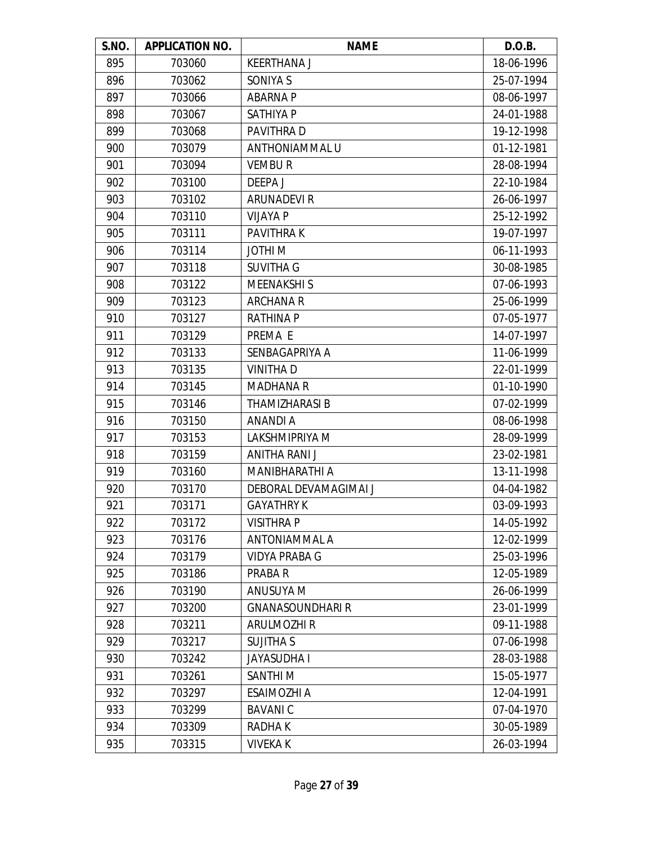| S.NO. | <b>APPLICATION NO.</b> | <b>NAME</b>             | D.O.B.     |
|-------|------------------------|-------------------------|------------|
| 895   | 703060                 | <b>KEERTHANA J</b>      | 18-06-1996 |
| 896   | 703062                 | SONIYA S                | 25-07-1994 |
| 897   | 703066                 | <b>ABARNA P</b>         | 08-06-1997 |
| 898   | 703067                 | SATHIYA P               | 24-01-1988 |
| 899   | 703068                 | PAVITHRA D              | 19-12-1998 |
| 900   | 703079                 | ANTHONIAMMAL U          | 01-12-1981 |
| 901   | 703094                 | <b>VEMBUR</b>           | 28-08-1994 |
| 902   | 703100                 | DEEPA J                 | 22-10-1984 |
| 903   | 703102                 | <b>ARUNADEVIR</b>       | 26-06-1997 |
| 904   | 703110                 | <b>VIJAYA P</b>         | 25-12-1992 |
| 905   | 703111                 | <b>PAVITHRAK</b>        | 19-07-1997 |
| 906   | 703114                 | JOTHI M                 | 06-11-1993 |
| 907   | 703118                 | <b>SUVITHA G</b>        | 30-08-1985 |
| 908   | 703122                 | <b>MEENAKSHIS</b>       | 07-06-1993 |
| 909   | 703123                 | <b>ARCHANA R</b>        | 25-06-1999 |
| 910   | 703127                 | <b>RATHINA P</b>        | 07-05-1977 |
| 911   | 703129                 | PREMA E                 | 14-07-1997 |
| 912   | 703133                 | SENBAGAPRIYA A          | 11-06-1999 |
| 913   | 703135                 | <b>VINITHAD</b>         | 22-01-1999 |
| 914   | 703145                 | <b>MADHANA R</b>        | 01-10-1990 |
| 915   | 703146                 | <b>THAMIZHARASI B</b>   | 07-02-1999 |
| 916   | 703150                 | ANANDI A                | 08-06-1998 |
| 917   | 703153                 | LAKSHMIPRIYA M          | 28-09-1999 |
| 918   | 703159                 | ANITHA RANI J           | 23-02-1981 |
| 919   | 703160                 | MANIBHARATHI A          | 13-11-1998 |
| 920   | 703170                 | DEBORAL DEVAMAGIMAI J   | 04-04-1982 |
| 921   | 703171                 | <b>GAYATHRY K</b>       | 03-09-1993 |
| 922   | 703172                 | <b>VISITHRAP</b>        | 14-05-1992 |
| 923   | 703176                 | ANTONIAMMAL A           | 12-02-1999 |
| 924   | 703179                 | <b>VIDYA PRABA G</b>    | 25-03-1996 |
| 925   | 703186                 | PRABA R                 | 12-05-1989 |
| 926   | 703190                 | ANUSUYA M               | 26-06-1999 |
| 927   | 703200                 | <b>GNANASOUNDHARI R</b> | 23-01-1999 |
| 928   | 703211                 | <b>ARULMOZHI R</b>      | 09-11-1988 |
| 929   | 703217                 | <b>SUJITHA S</b>        | 07-06-1998 |
| 930   | 703242                 | <b>JAYASUDHA I</b>      | 28-03-1988 |
| 931   | 703261                 | SANTHI <sub>M</sub>     | 15-05-1977 |
| 932   | 703297                 | <b>ESAIMOZHI A</b>      | 12-04-1991 |
| 933   | 703299                 | <b>BAVANIC</b>          | 07-04-1970 |
| 934   | 703309                 | RADHA K                 | 30-05-1989 |
| 935   | 703315                 | <b>VIVEKA K</b>         | 26-03-1994 |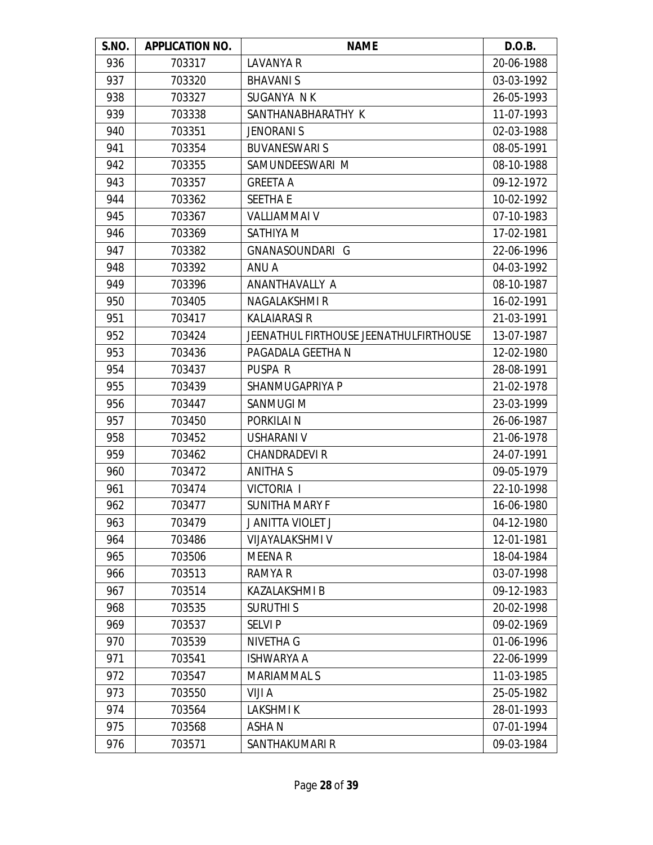| S.NO. | <b>APPLICATION NO.</b> | <b>NAME</b>                            | D.O.B.     |
|-------|------------------------|----------------------------------------|------------|
| 936   | 703317                 | <b>LAVANYA R</b>                       | 20-06-1988 |
| 937   | 703320                 | <b>BHAVANIS</b>                        | 03-03-1992 |
| 938   | 703327                 | SUGANYA NK                             | 26-05-1993 |
| 939   | 703338                 | SANTHANABHARATHY K                     | 11-07-1993 |
| 940   | 703351                 | <b>JENORANI S</b>                      | 02-03-1988 |
| 941   | 703354                 | <b>BUVANESWARI S</b>                   | 08-05-1991 |
| 942   | 703355                 | SAMUNDEESWARI M                        | 08-10-1988 |
| 943   | 703357                 | <b>GREETA A</b>                        | 09-12-1972 |
| 944   | 703362                 | <b>SEETHA E</b>                        | 10-02-1992 |
| 945   | 703367                 | VALLIAMMAI V                           | 07-10-1983 |
| 946   | 703369                 | SATHIYA M                              | 17-02-1981 |
| 947   | 703382                 | GNANASOUNDARI G                        | 22-06-1996 |
| 948   | 703392                 | ANU A                                  | 04-03-1992 |
| 949   | 703396                 | ANANTHAVALLY A                         | 08-10-1987 |
| 950   | 703405                 | <b>NAGALAKSHMIR</b>                    | 16-02-1991 |
| 951   | 703417                 | <b>KALAIARASI R</b>                    | 21-03-1991 |
| 952   | 703424                 | JEENATHUL FIRTHOUSE JEENATHULFIRTHOUSE | 13-07-1987 |
| 953   | 703436                 | PAGADALA GEETHA N                      | 12-02-1980 |
| 954   | 703437                 | PUSPA R                                | 28-08-1991 |
| 955   | 703439                 | SHANMUGAPRIYA P                        | 21-02-1978 |
| 956   | 703447                 | SANMUGI M                              | 23-03-1999 |
| 957   | 703450                 | PORKILAI N                             | 26-06-1987 |
| 958   | 703452                 | <b>USHARANI V</b>                      | 21-06-1978 |
| 959   | 703462                 | <b>CHANDRADEVIR</b>                    | 24-07-1991 |
| 960   | 703472                 | <b>ANITHA S</b>                        | 09-05-1979 |
| 961   | 703474                 | <b>VICTORIA I</b>                      | 22-10-1998 |
| 962   | 703477                 | <b>SUNITHA MARY F</b>                  | 16-06-1980 |
| 963   | 703479                 | J ANITTA VIOLET J                      | 04-12-1980 |
| 964   | 703486                 | <b>VIJAYALAKSHMI V</b>                 | 12-01-1981 |
| 965   | 703506                 | <b>MEENAR</b>                          | 18-04-1984 |
| 966   | 703513                 | RAMYA R                                | 03-07-1998 |
| 967   | 703514                 | KAZALAKSHMI B                          | 09-12-1983 |
| 968   | 703535                 | <b>SURUTHIS</b>                        | 20-02-1998 |
| 969   | 703537                 | <b>SELVIP</b>                          | 09-02-1969 |
| 970   | 703539                 | NIVETHA G                              | 01-06-1996 |
| 971   | 703541                 | <b>ISHWARYA A</b>                      | 22-06-1999 |
| 972   | 703547                 | MARIAMMAL S                            | 11-03-1985 |
| 973   | 703550                 | VIJI A                                 | 25-05-1982 |
| 974   | 703564                 | <b>LAKSHMIK</b>                        | 28-01-1993 |
| 975   | 703568                 | <b>ASHAN</b>                           | 07-01-1994 |
| 976   | 703571                 | SANTHAKUMARI R                         | 09-03-1984 |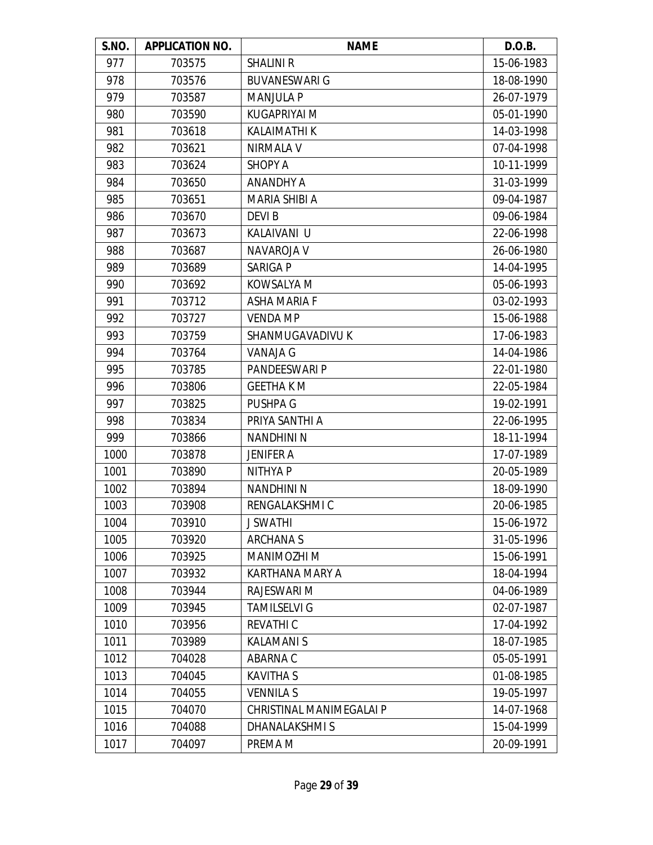| S.NO. | <b>APPLICATION NO.</b> | <b>NAME</b>              | D.O.B.     |
|-------|------------------------|--------------------------|------------|
| 977   | 703575                 | <b>SHALINI R</b>         | 15-06-1983 |
| 978   | 703576                 | <b>BUVANESWARI G</b>     | 18-08-1990 |
| 979   | 703587                 | <b>MANJULA P</b>         | 26-07-1979 |
| 980   | 703590                 | <b>KUGAPRIYAI M</b>      | 05-01-1990 |
| 981   | 703618                 | <b>KALAIMATHI K</b>      | 14-03-1998 |
| 982   | 703621                 | <b>NIRMALA V</b>         | 07-04-1998 |
| 983   | 703624                 | <b>SHOPY A</b>           | 10-11-1999 |
| 984   | 703650                 | <b>ANANDHY A</b>         | 31-03-1999 |
| 985   | 703651                 | MARIA SHIBI A            | 09-04-1987 |
| 986   | 703670                 | <b>DEVIB</b>             | 09-06-1984 |
| 987   | 703673                 | KALAIVANI U              | 22-06-1998 |
| 988   | 703687                 | NAVAROJA V               | 26-06-1980 |
| 989   | 703689                 | <b>SARIGA P</b>          | 14-04-1995 |
| 990   | 703692                 | KOWSALYA M               | 05-06-1993 |
| 991   | 703712                 | <b>ASHA MARIA F</b>      | 03-02-1993 |
| 992   | 703727                 | <b>VENDA MP</b>          | 15-06-1988 |
| 993   | 703759                 | SHANMUGAVADIVU K         | 17-06-1983 |
| 994   | 703764                 | VANAJA G                 | 14-04-1986 |
| 995   | 703785                 | PANDEESWARI P            | 22-01-1980 |
| 996   | 703806                 | <b>GEETHA K M</b>        | 22-05-1984 |
| 997   | 703825                 | <b>PUSHPA G</b>          | 19-02-1991 |
| 998   | 703834                 | PRIYA SANTHI A           | 22-06-1995 |
| 999   | 703866                 | <b>NANDHINI N</b>        | 18-11-1994 |
| 1000  | 703878                 | <b>JENIFER A</b>         | 17-07-1989 |
| 1001  | 703890                 | <b>NITHYAP</b>           | 20-05-1989 |
| 1002  | 703894                 | <b>NANDHINI N</b>        | 18-09-1990 |
| 1003  | 703908                 | RENGALAKSHMI C           | 20-06-1985 |
| 1004  | 703910                 | <b>J SWATHI</b>          | 15-06-1972 |
| 1005  | 703920                 | <b>ARCHANAS</b>          | 31-05-1996 |
| 1006  | 703925                 | MANIMOZHI M              | 15-06-1991 |
| 1007  | 703932                 | KARTHANA MARY A          | 18-04-1994 |
| 1008  | 703944                 | RAJESWARI M              | 04-06-1989 |
| 1009  | 703945                 | <b>TAMILSELVI G</b>      | 02-07-1987 |
| 1010  | 703956                 | <b>REVATHIC</b>          | 17-04-1992 |
| 1011  | 703989                 | <b>KALAMANIS</b>         | 18-07-1985 |
| 1012  | 704028                 | ABARNA C                 | 05-05-1991 |
| 1013  | 704045                 | <b>KAVITHA S</b>         | 01-08-1985 |
| 1014  | 704055                 | <b>VENNILA S</b>         | 19-05-1997 |
| 1015  | 704070                 | CHRISTINAL MANIMEGALAI P | 14-07-1968 |
| 1016  | 704088                 | DHANALAKSHMIS            | 15-04-1999 |
| 1017  | 704097                 | PREMA M                  | 20-09-1991 |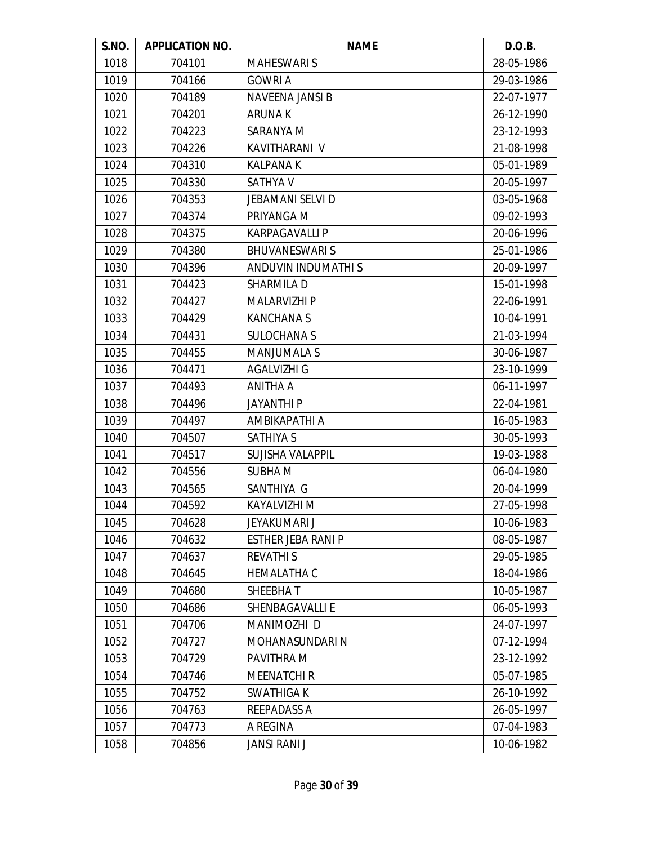| S.NO. | <b>APPLICATION NO.</b> | <b>NAME</b>               | D.O.B.     |
|-------|------------------------|---------------------------|------------|
| 1018  | 704101                 | <b>MAHESWARI S</b>        | 28-05-1986 |
| 1019  | 704166                 | <b>GOWRI A</b>            | 29-03-1986 |
| 1020  | 704189                 | NAVEENA JANSI B           | 22-07-1977 |
| 1021  | 704201                 | <b>ARUNAK</b>             | 26-12-1990 |
| 1022  | 704223                 | SARANYA M                 | 23-12-1993 |
| 1023  | 704226                 | KAVITHARANI V             | 21-08-1998 |
| 1024  | 704310                 | <b>KALPANA K</b>          | 05-01-1989 |
| 1025  | 704330                 | <b>SATHYA V</b>           | 20-05-1997 |
| 1026  | 704353                 | <b>JEBAMANI SELVI D</b>   | 03-05-1968 |
| 1027  | 704374                 | PRIYANGA M                | 09-02-1993 |
| 1028  | 704375                 | <b>KARPAGAVALLI P</b>     | 20-06-1996 |
| 1029  | 704380                 | <b>BHUVANESWARIS</b>      | 25-01-1986 |
| 1030  | 704396                 | ANDUVIN INDUMATHI S       | 20-09-1997 |
| 1031  | 704423                 | SHARMILA D                | 15-01-1998 |
| 1032  | 704427                 | <b>MALARVIZHI P</b>       | 22-06-1991 |
| 1033  | 704429                 | <b>KANCHANAS</b>          | 10-04-1991 |
| 1034  | 704431                 | <b>SULOCHANA S</b>        | 21-03-1994 |
| 1035  | 704455                 | <b>MANJUMALA S</b>        | 30-06-1987 |
| 1036  | 704471                 | AGALVIZHI G               | 23-10-1999 |
| 1037  | 704493                 | ANITHA A                  | 06-11-1997 |
| 1038  | 704496                 | <b>JAYANTHI P</b>         | 22-04-1981 |
| 1039  | 704497                 | AMBIKAPATHI A             | 16-05-1983 |
| 1040  | 704507                 | <b>SATHIYA S</b>          | 30-05-1993 |
| 1041  | 704517                 | SUJISHA VALAPPIL          | 19-03-1988 |
| 1042  | 704556                 | <b>SUBHAM</b>             | 06-04-1980 |
| 1043  | 704565                 | SANTHIYA G                | 20-04-1999 |
| 1044  | 704592                 | KAYALVIZHI M              | 27-05-1998 |
| 1045  | 704628                 | JEYAKUMARI J              | 10-06-1983 |
| 1046  | 704632                 | <b>ESTHER JEBA RANI P</b> | 08-05-1987 |
| 1047  | 704637                 | <b>REVATHIS</b>           | 29-05-1985 |
| 1048  | 704645                 | <b>HEMALATHA C</b>        | 18-04-1986 |
| 1049  | 704680                 | SHEEBHAT                  | 10-05-1987 |
| 1050  | 704686                 | <b>SHENBAGAVALLI E</b>    | 06-05-1993 |
| 1051  | 704706                 | MANIMOZHI D               | 24-07-1997 |
| 1052  | 704727                 | MOHANASUNDARI N           | 07-12-1994 |
| 1053  | 704729                 | PAVITHRA M                | 23-12-1992 |
| 1054  | 704746                 | <b>MEENATCHIR</b>         | 05-07-1985 |
| 1055  | 704752                 | <b>SWATHIGAK</b>          | 26-10-1992 |
| 1056  | 704763                 | <b>REEPADASS A</b>        | 26-05-1997 |
| 1057  | 704773                 | A REGINA                  | 07-04-1983 |
| 1058  | 704856                 | <b>JANSI RANI J</b>       | 10-06-1982 |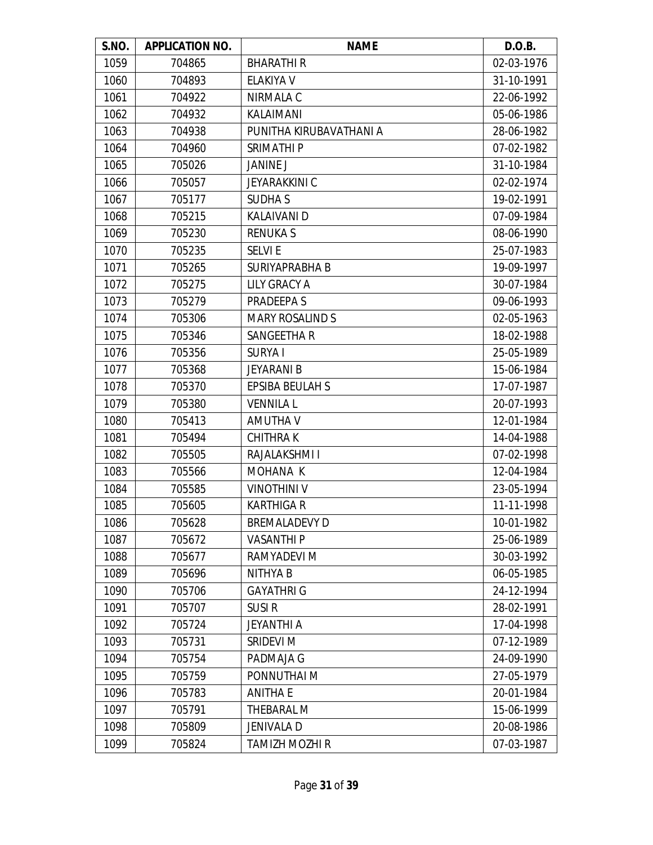| S.NO. | <b>APPLICATION NO.</b> | <b>NAME</b>             | D.O.B.     |
|-------|------------------------|-------------------------|------------|
| 1059  | 704865                 | <b>BHARATHIR</b>        | 02-03-1976 |
| 1060  | 704893                 | ELAKIYA V               | 31-10-1991 |
| 1061  | 704922                 | NIRMALA C               | 22-06-1992 |
| 1062  | 704932                 | KALAIMANI               | 05-06-1986 |
| 1063  | 704938                 | PUNITHA KIRUBAVATHANI A | 28-06-1982 |
| 1064  | 704960                 | <b>SRIMATHIP</b>        | 07-02-1982 |
| 1065  | 705026                 | <b>JANINE J</b>         | 31-10-1984 |
| 1066  | 705057                 | <b>JEYARAKKINI C</b>    | 02-02-1974 |
| 1067  | 705177                 | <b>SUDHAS</b>           | 19-02-1991 |
| 1068  | 705215                 | <b>KALAIVANI D</b>      | 07-09-1984 |
| 1069  | 705230                 | <b>RENUKAS</b>          | 08-06-1990 |
| 1070  | 705235                 | <b>SELVIE</b>           | 25-07-1983 |
| 1071  | 705265                 | SURIYAPRABHA B          | 19-09-1997 |
| 1072  | 705275                 | <b>LILY GRACY A</b>     | 30-07-1984 |
| 1073  | 705279                 | PRADEEPA S              | 09-06-1993 |
| 1074  | 705306                 | <b>MARY ROSALIND S</b>  | 02-05-1963 |
| 1075  | 705346                 | <b>SANGEETHA R</b>      | 18-02-1988 |
| 1076  | 705356                 | <b>SURYAI</b>           | 25-05-1989 |
| 1077  | 705368                 | <b>JEYARANI B</b>       | 15-06-1984 |
| 1078  | 705370                 | <b>EPSIBA BEULAH S</b>  | 17-07-1987 |
| 1079  | 705380                 | <b>VENNILA L</b>        | 20-07-1993 |
| 1080  | 705413                 | AMUTHA V                | 12-01-1984 |
| 1081  | 705494                 | <b>CHITHRAK</b>         | 14-04-1988 |
| 1082  | 705505                 | RAJALAKSHMI I           | 07-02-1998 |
| 1083  | 705566                 | MOHANA K                | 12-04-1984 |
| 1084  | 705585                 | <b>VINOTHINI V</b>      | 23-05-1994 |
| 1085  | 705605                 | <b>KARTHIGA R</b>       | 11-11-1998 |
| 1086  | 705628                 | <b>BREMALADEVY D</b>    | 10-01-1982 |
| 1087  | 705672                 | <b>VASANTHIP</b>        | 25-06-1989 |
| 1088  | 705677                 | RAMYADEVI M             | 30-03-1992 |
| 1089  | 705696                 | <b>NITHYAB</b>          | 06-05-1985 |
| 1090  | 705706                 | <b>GAYATHRI G</b>       | 24-12-1994 |
| 1091  | 705707                 | <b>SUSIR</b>            | 28-02-1991 |
| 1092  | 705724                 | <b>JEYANTHI A</b>       | 17-04-1998 |
| 1093  | 705731                 | SRIDEVI M               | 07-12-1989 |
| 1094  | 705754                 | PADMAJA G               | 24-09-1990 |
| 1095  | 705759                 | PONNUTHAI M             | 27-05-1979 |
| 1096  | 705783                 | <b>ANITHA E</b>         | 20-01-1984 |
| 1097  | 705791                 | THEBARAL M              | 15-06-1999 |
| 1098  | 705809                 | <b>JENIVALA D</b>       | 20-08-1986 |
| 1099  | 705824                 | <b>TAMIZH MOZHI R</b>   | 07-03-1987 |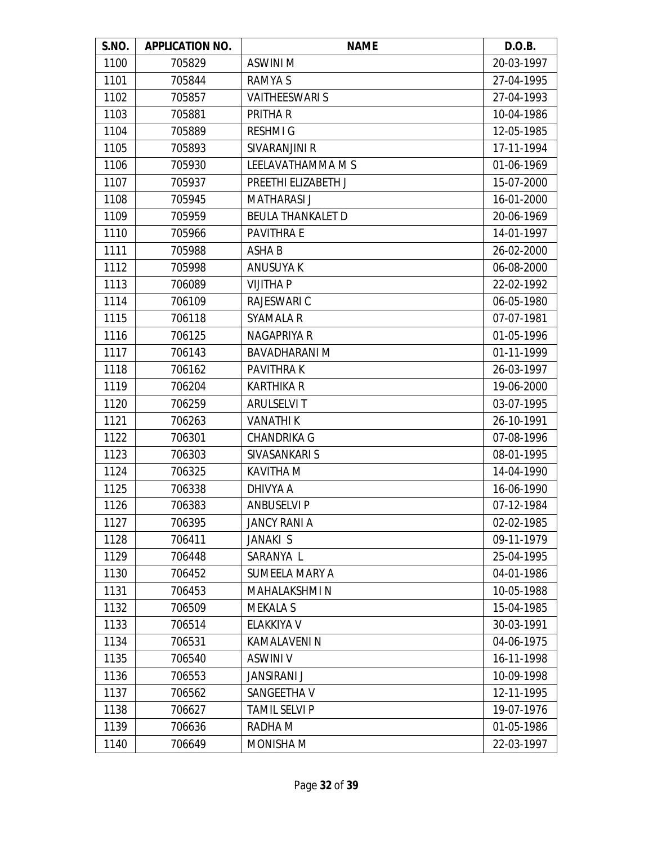| S.NO. | <b>APPLICATION NO.</b> | <b>NAME</b>              | D.O.B.     |
|-------|------------------------|--------------------------|------------|
| 1100  | 705829                 | ASWINI M                 | 20-03-1997 |
| 1101  | 705844                 | <b>RAMYAS</b>            | 27-04-1995 |
| 1102  | 705857                 | <b>VAITHEESWARI S</b>    | 27-04-1993 |
| 1103  | 705881                 | PRITHA R                 | 10-04-1986 |
| 1104  | 705889                 | <b>RESHMIG</b>           | 12-05-1985 |
| 1105  | 705893                 | SIVARANJINI R            | 17-11-1994 |
| 1106  | 705930                 | LEELAVATHAMMA M S        | 01-06-1969 |
| 1107  | 705937                 | PREETHI ELIZABETH J      | 15-07-2000 |
| 1108  | 705945                 | <b>MATHARASI J</b>       | 16-01-2000 |
| 1109  | 705959                 | <b>BEULA THANKALET D</b> | 20-06-1969 |
| 1110  | 705966                 | <b>PAVITHRA E</b>        | 14-01-1997 |
| 1111  | 705988                 | <b>ASHAB</b>             | 26-02-2000 |
| 1112  | 705998                 | <b>ANUSUYAK</b>          | 06-08-2000 |
| 1113  | 706089                 | <b>VIJITHA P</b>         | 22-02-1992 |
| 1114  | 706109                 | <b>RAJESWARI C</b>       | 06-05-1980 |
| 1115  | 706118                 | <b>SYAMALA R</b>         | 07-07-1981 |
| 1116  | 706125                 | NAGAPRIYA R              | 01-05-1996 |
| 1117  | 706143                 | <b>BAVADHARANI M</b>     | 01-11-1999 |
| 1118  | 706162                 | <b>PAVITHRAK</b>         | 26-03-1997 |
| 1119  | 706204                 | <b>KARTHIKA R</b>        | 19-06-2000 |
| 1120  | 706259                 | <b>ARULSELVIT</b>        | 03-07-1995 |
| 1121  | 706263                 | <b>VANATHIK</b>          | 26-10-1991 |
| 1122  | 706301                 | <b>CHANDRIKA G</b>       | 07-08-1996 |
| 1123  | 706303                 | SIVASANKARI S            | 08-01-1995 |
| 1124  | 706325                 | <b>KAVITHA M</b>         | 14-04-1990 |
| 1125  | 706338                 | DHIVYA A                 | 16-06-1990 |
| 1126  | 706383                 | <b>ANBUSELVI P</b>       | 07-12-1984 |
| 1127  | 706395                 | <b>JANCY RANI A</b>      | 02-02-1985 |
| 1128  | 706411                 | JANAKI S                 | 09-11-1979 |
| 1129  | 706448                 | SARANYA L                | 25-04-1995 |
| 1130  | 706452                 | <b>SUMEELA MARY A</b>    | 04-01-1986 |
| 1131  | 706453                 | MAHALAKSHMI N            | 10-05-1988 |
| 1132  | 706509                 | <b>MEKALA S</b>          | 15-04-1985 |
| 1133  | 706514                 | ELAKKIYA V               | 30-03-1991 |
| 1134  | 706531                 | <b>KAMALAVENI N</b>      | 04-06-1975 |
| 1135  | 706540                 | <b>ASWINI V</b>          | 16-11-1998 |
| 1136  | 706553                 | <b>JANSIRANI J</b>       | 10-09-1998 |
| 1137  | 706562                 | SANGEETHA V              | 12-11-1995 |
| 1138  | 706627                 | <b>TAMIL SELVI P</b>     | 19-07-1976 |
| 1139  | 706636                 | RADHA M                  | 01-05-1986 |
| 1140  | 706649                 | <b>MONISHA M</b>         | 22-03-1997 |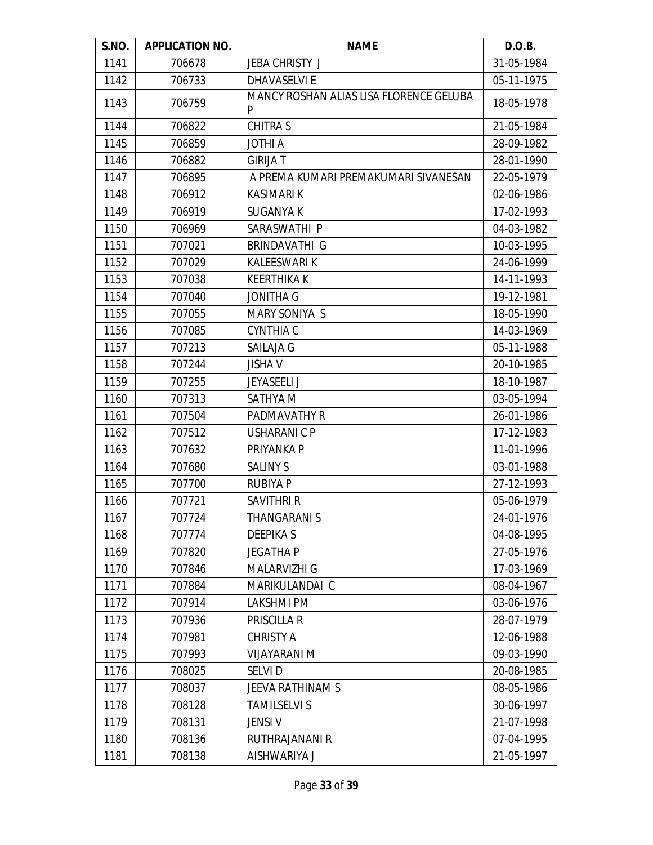| S.NO. | <b>APPLICATION NO.</b> | <b>NAME</b>                                  | D.O.B.     |
|-------|------------------------|----------------------------------------------|------------|
| 1141  | 706678                 | <b>JEBA CHRISTY J</b>                        | 31-05-1984 |
| 1142  | 706733                 | <b>DHAVASELVI E</b>                          | 05-11-1975 |
| 1143  | 706759                 | MANCY ROSHAN ALIAS LISA FLORENCE GELUBA<br>P | 18-05-1978 |
| 1144  | 706822                 | <b>CHITRA S</b>                              | 21-05-1984 |
| 1145  | 706859                 | <b>JOTHI A</b>                               | 28-09-1982 |
| 1146  | 706882                 | <b>GIRIJA T</b>                              | 28-01-1990 |
| 1147  | 706895                 | A PREMA KUMARI PREMAKUMARI SIVANESAN         | 22-05-1979 |
| 1148  | 706912                 | <b>KASIMARI K</b>                            | 02-06-1986 |
| 1149  | 706919                 | <b>SUGANYA K</b>                             | 17-02-1993 |
| 1150  | 706969                 | SARASWATHI P                                 | 04-03-1982 |
| 1151  | 707021                 | BRINDAVATHI G                                | 10-03-1995 |
| 1152  | 707029                 | <b>KALEESWARI K</b>                          | 24-06-1999 |
| 1153  | 707038                 | <b>KEERTHIKA K</b>                           | 14-11-1993 |
| 1154  | 707040                 | <b>JONITHA G</b>                             | 19-12-1981 |
| 1155  | 707055                 | <b>MARY SONIYA S</b>                         | 18-05-1990 |
| 1156  | 707085                 | <b>CYNTHIA C</b>                             | 14-03-1969 |
| 1157  | 707213                 | <b>SAILAJA G</b>                             | 05-11-1988 |
| 1158  | 707244                 | <b>JISHA V</b>                               | 20-10-1985 |
| 1159  | 707255                 | <b>JEYASEELI J</b>                           | 18-10-1987 |
| 1160  | 707313                 | SATHYA M                                     | 03-05-1994 |
| 1161  | 707504                 | PADMAVATHY R                                 | 26-01-1986 |
| 1162  | 707512                 | <b>USHARANICP</b>                            | 17-12-1983 |
| 1163  | 707632                 | PRIYANKA P                                   | 11-01-1996 |
| 1164  | 707680                 | <b>SALINY S</b>                              | 03-01-1988 |
| 1165  | 707700                 | <b>RUBIYA P</b>                              | 27-12-1993 |
| 1166  | 707721                 | <b>SAVITHRI R</b>                            | 05-06-1979 |
| 1167  | 707724                 | THANGARANI S                                 | 24-01-1976 |
| 1168  | 707774                 | <b>DEEPIKAS</b>                              | 04-08-1995 |
| 1169  | 707820                 | <b>JEGATHAP</b>                              | 27-05-1976 |
| 1170  | 707846                 | <b>MALARVIZHI G</b>                          | 17-03-1969 |
| 1171  | 707884                 | MARIKULANDAI C                               | 08-04-1967 |
| 1172  | 707914                 | <b>LAKSHMI PM</b>                            | 03-06-1976 |
| 1173  | 707936                 | PRISCILLA R                                  | 28-07-1979 |
| 1174  | 707981                 | <b>CHRISTY A</b>                             | 12-06-1988 |
| 1175  | 707993                 | <b>VIJAYARANI M</b>                          | 09-03-1990 |
| 1176  | 708025                 | <b>SELVID</b>                                | 20-08-1985 |
| 1177  | 708037                 | JEEVA RATHINAM S                             | 08-05-1986 |
| 1178  | 708128                 | <b>TAMILSELVI S</b>                          | 30-06-1997 |
| 1179  | 708131                 | <b>JENSIV</b>                                | 21-07-1998 |
| 1180  | 708136                 | RUTHRAJANANI R                               | 07-04-1995 |
| 1181  | 708138                 | AISHWARIYA J                                 | 21-05-1997 |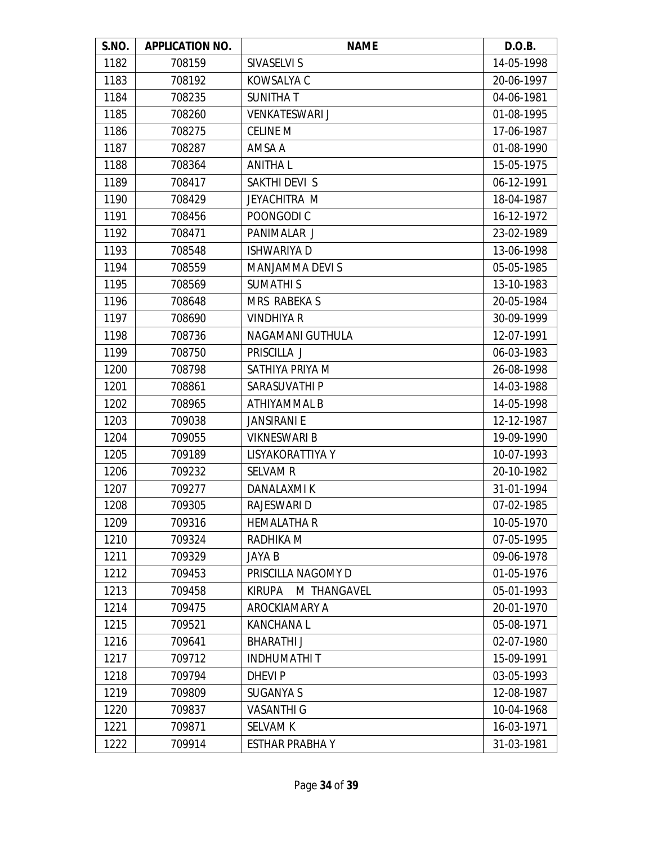| S.NO. | <b>APPLICATION NO.</b> | <b>NAME</b>                  | D.O.B.     |
|-------|------------------------|------------------------------|------------|
| 1182  | 708159                 | SIVASELVI S                  | 14-05-1998 |
| 1183  | 708192                 | KOWSALYA C                   | 20-06-1997 |
| 1184  | 708235                 | <b>SUNITHAT</b>              | 04-06-1981 |
| 1185  | 708260                 | <b>VENKATESWARI J</b>        | 01-08-1995 |
| 1186  | 708275                 | <b>CELINE M</b>              | 17-06-1987 |
| 1187  | 708287                 | AMSA A                       | 01-08-1990 |
| 1188  | 708364                 | <b>ANITHAL</b>               | 15-05-1975 |
| 1189  | 708417                 | SAKTHI DEVI S                | 06-12-1991 |
| 1190  | 708429                 | JEYACHITRA M                 | 18-04-1987 |
| 1191  | 708456                 | POONGODI C                   | 16-12-1972 |
| 1192  | 708471                 | PANIMALAR J                  | 23-02-1989 |
| 1193  | 708548                 | <b>ISHWARIYA D</b>           | 13-06-1998 |
| 1194  | 708559                 | <b>MANJAMMA DEVI S</b>       | 05-05-1985 |
| 1195  | 708569                 | <b>SUMATHIS</b>              | 13-10-1983 |
| 1196  | 708648                 | MRS RABEKA S                 | 20-05-1984 |
| 1197  | 708690                 | <b>VINDHIYA R</b>            | 30-09-1999 |
| 1198  | 708736                 | NAGAMANI GUTHULA             | 12-07-1991 |
| 1199  | 708750                 | PRISCILLA J                  | 06-03-1983 |
| 1200  | 708798                 | SATHIYA PRIYA M              | 26-08-1998 |
| 1201  | 708861                 | SARASUVATHI P                | 14-03-1988 |
| 1202  | 708965                 | ATHIYAMMAL B                 | 14-05-1998 |
| 1203  | 709038                 | <b>JANSIRANI E</b>           | 12-12-1987 |
| 1204  | 709055                 | <b>VIKNESWARI B</b>          | 19-09-1990 |
| 1205  | 709189                 | LISYAKORATTIYA Y             | 10-07-1993 |
| 1206  | 709232                 | <b>SELVAM R</b>              | 20-10-1982 |
| 1207  | 709277                 | <b>DANALAXMIK</b>            | 31-01-1994 |
| 1208  | 709305                 | RAJESWARI D                  | 07-02-1985 |
| 1209  | 709316                 | <b>HEMALATHA R</b>           | 10-05-1970 |
| 1210  | 709324                 | RADHIKA M                    | 07-05-1995 |
| 1211  | 709329                 | JAYA B                       | 09-06-1978 |
| 1212  | 709453                 | PRISCILLA NAGOMY D           | 01-05-1976 |
| 1213  | 709458                 | M THANGAVEL<br><b>KIRUPA</b> | 05-01-1993 |
| 1214  | 709475                 | AROCKIAMARY A                | 20-01-1970 |
| 1215  | 709521                 | <b>KANCHANAL</b>             | 05-08-1971 |
| 1216  | 709641                 | <b>BHARATHIJ</b>             | 02-07-1980 |
| 1217  | 709712                 | <b>INDHUMATHIT</b>           | 15-09-1991 |
| 1218  | 709794                 | <b>DHEVIP</b>                | 03-05-1993 |
| 1219  | 709809                 | <b>SUGANYA S</b>             | 12-08-1987 |
| 1220  | 709837                 | <b>VASANTHI G</b>            | 10-04-1968 |
| 1221  | 709871                 | <b>SELVAM K</b>              | 16-03-1971 |
| 1222  | 709914                 | <b>ESTHAR PRABHAY</b>        | 31-03-1981 |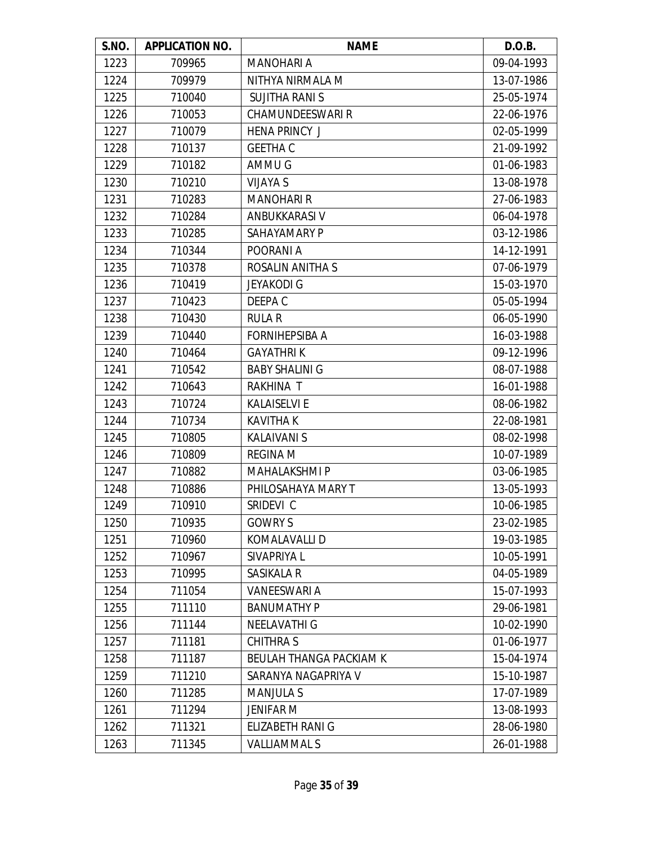| S.NO. | <b>APPLICATION NO.</b> | <b>NAME</b>                    | D.O.B.     |
|-------|------------------------|--------------------------------|------------|
| 1223  | 709965                 | <b>MANOHARI A</b>              | 09-04-1993 |
| 1224  | 709979                 | NITHYA NIRMALA M               | 13-07-1986 |
| 1225  | 710040                 | <b>SUJITHA RANIS</b>           | 25-05-1974 |
| 1226  | 710053                 | <b>CHAMUNDEESWARI R</b>        | 22-06-1976 |
| 1227  | 710079                 | <b>HENA PRINCY J</b>           | 02-05-1999 |
| 1228  | 710137                 | <b>GEETHA C</b>                | 21-09-1992 |
| 1229  | 710182                 | AMMU G                         | 01-06-1983 |
| 1230  | 710210                 | <b>VIJAYA S</b>                | 13-08-1978 |
| 1231  | 710283                 | <b>MANOHARI R</b>              | 27-06-1983 |
| 1232  | 710284                 | ANBUKKARASI V                  | 06-04-1978 |
| 1233  | 710285                 | SAHAYAMARY P                   | 03-12-1986 |
| 1234  | 710344                 | POORANI A                      | 14-12-1991 |
| 1235  | 710378                 | ROSALIN ANITHA S               | 07-06-1979 |
| 1236  | 710419                 | <b>JEYAKODI G</b>              | 15-03-1970 |
| 1237  | 710423                 | DEEPA C                        | 05-05-1994 |
| 1238  | 710430                 | <b>RULAR</b>                   | 06-05-1990 |
| 1239  | 710440                 | <b>FORNIHEPSIBA A</b>          | 16-03-1988 |
| 1240  | 710464                 | <b>GAYATHRIK</b>               | 09-12-1996 |
| 1241  | 710542                 | <b>BABY SHALINI G</b>          | 08-07-1988 |
| 1242  | 710643                 | <b>RAKHINA T</b>               | 16-01-1988 |
| 1243  | 710724                 | <b>KALAISELVI E</b>            | 08-06-1982 |
| 1244  | 710734                 | <b>KAVITHA K</b>               | 22-08-1981 |
| 1245  | 710805                 | <b>KALAIVANI S</b>             | 08-02-1998 |
| 1246  | 710809                 | <b>REGINA M</b>                | 10-07-1989 |
| 1247  | 710882                 | <b>MAHALAKSHMI P</b>           | 03-06-1985 |
| 1248  | 710886                 | PHILOSAHAYA MARY T             | 13-05-1993 |
| 1249  | 710910                 | SRIDEVI C                      | 10-06-1985 |
| 1250  | 710935                 | <b>GOWRY S</b>                 | 23-02-1985 |
| 1251  | 710960                 | KOMALAVALLI D                  | 19-03-1985 |
| 1252  | 710967                 | SIVAPRIYA L                    | 10-05-1991 |
| 1253  | 710995                 | <b>SASIKALA R</b>              | 04-05-1989 |
| 1254  | 711054                 | <b>VANEESWARI A</b>            | 15-07-1993 |
| 1255  | 711110                 | <b>BANUMATHY P</b>             | 29-06-1981 |
| 1256  | 711144                 | <b>NEELAVATHI G</b>            | 10-02-1990 |
| 1257  | 711181                 | <b>CHITHRAS</b>                | 01-06-1977 |
| 1258  | 711187                 | <b>BEULAH THANGA PACKIAM K</b> | 15-04-1974 |
| 1259  | 711210                 | SARANYA NAGAPRIYA V            | 15-10-1987 |
| 1260  | 711285                 | <b>MANJULA S</b>               | 17-07-1989 |
| 1261  | 711294                 | <b>JENIFAR M</b>               | 13-08-1993 |
| 1262  | 711321                 | ELIZABETH RANI G               | 28-06-1980 |
| 1263  | 711345                 | <b>VALLIAMMAL S</b>            | 26-01-1988 |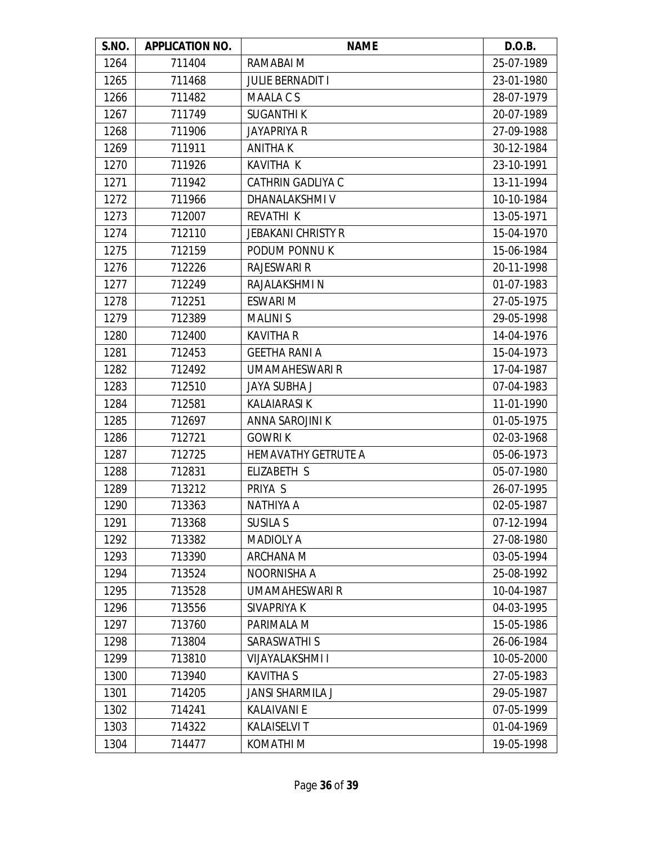| S.NO. | <b>APPLICATION NO.</b> | <b>NAME</b>                | D.O.B.     |
|-------|------------------------|----------------------------|------------|
| 1264  | 711404                 | RAMABAI M                  | 25-07-1989 |
| 1265  | 711468                 | <b>JULIE BERNADIT I</b>    | 23-01-1980 |
| 1266  | 711482                 | <b>MAALACS</b>             | 28-07-1979 |
| 1267  | 711749                 | <b>SUGANTHIK</b>           | 20-07-1989 |
| 1268  | 711906                 | <b>JAYAPRIYA R</b>         | 27-09-1988 |
| 1269  | 711911                 | <b>ANITHAK</b>             | 30-12-1984 |
| 1270  | 711926                 | KAVITHA K                  | 23-10-1991 |
| 1271  | 711942                 | <b>CATHRIN GADLIYA C</b>   | 13-11-1994 |
| 1272  | 711966                 | DHANALAKSHMI V             | 10-10-1984 |
| 1273  | 712007                 | <b>REVATHI K</b>           | 13-05-1971 |
| 1274  | 712110                 | <b>JEBAKANI CHRISTY R</b>  | 15-04-1970 |
| 1275  | 712159                 | PODUM PONNUK               | 15-06-1984 |
| 1276  | 712226                 | <b>RAJESWARI R</b>         | 20-11-1998 |
| 1277  | 712249                 | RAJALAKSHMI N              | 01-07-1983 |
| 1278  | 712251                 | <b>ESWARI M</b>            | 27-05-1975 |
| 1279  | 712389                 | <b>MALINIS</b>             | 29-05-1998 |
| 1280  | 712400                 | <b>KAVITHA R</b>           | 14-04-1976 |
| 1281  | 712453                 | <b>GEETHA RANI A</b>       | 15-04-1973 |
| 1282  | 712492                 | <b>UMAMAHESWARI R</b>      | 17-04-1987 |
| 1283  | 712510                 | <b>JAYA SUBHA J</b>        | 07-04-1983 |
| 1284  | 712581                 | <b>KALAIARASI K</b>        | 11-01-1990 |
| 1285  | 712697                 | ANNA SAROJINI K            | 01-05-1975 |
| 1286  | 712721                 | <b>GOWRIK</b>              | 02-03-1968 |
| 1287  | 712725                 | <b>HEMAVATHY GETRUTE A</b> | 05-06-1973 |
| 1288  | 712831                 | ELIZABETH S                | 05-07-1980 |
| 1289  | 713212                 | PRIYA S                    | 26-07-1995 |
| 1290  | 713363                 | <b>NATHIYA A</b>           | 02-05-1987 |
| 1291  | 713368                 | <b>SUSILA S</b>            | 07-12-1994 |
| 1292  | 713382                 | <b>MADIOLY A</b>           | 27-08-1980 |
| 1293  | 713390                 | ARCHANA M                  | 03-05-1994 |
| 1294  | 713524                 | NOORNISHA A                | 25-08-1992 |
| 1295  | 713528                 | UMAMAHESWARI R             | 10-04-1987 |
| 1296  | 713556                 | SIVAPRIYA K                | 04-03-1995 |
| 1297  | 713760                 | PARIMALA M                 | 15-05-1986 |
| 1298  | 713804                 | <b>SARASWATHI S</b>        | 26-06-1984 |
| 1299  | 713810                 | <b>VIJAYALAKSHMI I</b>     | 10-05-2000 |
| 1300  | 713940                 | <b>KAVITHA S</b>           | 27-05-1983 |
| 1301  | 714205                 | <b>JANSI SHARMILA J</b>    | 29-05-1987 |
| 1302  | 714241                 | <b>KALAIVANI E</b>         | 07-05-1999 |
| 1303  | 714322                 | <b>KALAISELVIT</b>         | 01-04-1969 |
| 1304  | 714477                 | KOMATHI M                  | 19-05-1998 |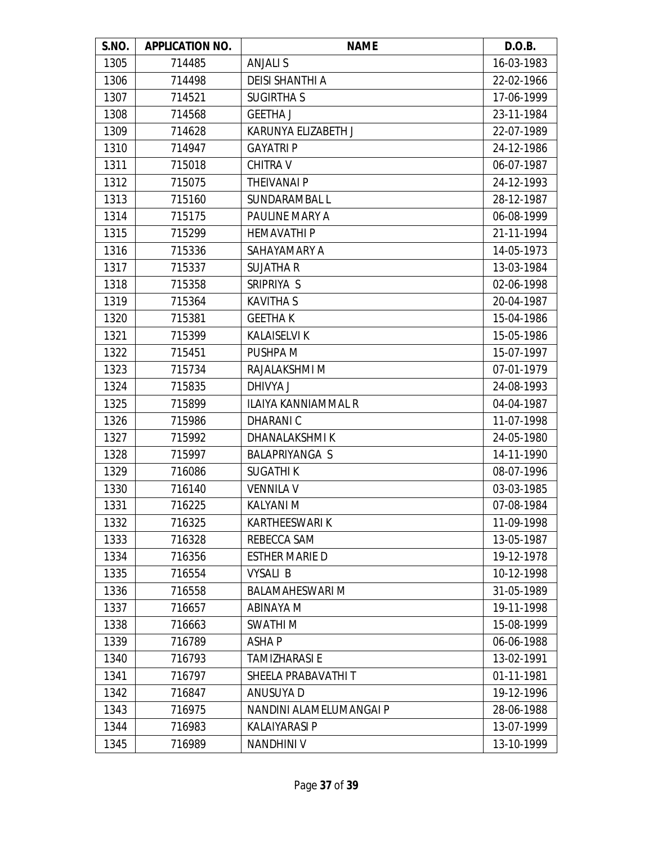| S.NO. | <b>APPLICATION NO.</b> | <b>NAME</b>                | D.O.B.     |
|-------|------------------------|----------------------------|------------|
| 1305  | 714485                 | <b>ANJALIS</b>             | 16-03-1983 |
| 1306  | 714498                 | <b>DEISI SHANTHI A</b>     | 22-02-1966 |
| 1307  | 714521                 | <b>SUGIRTHAS</b>           | 17-06-1999 |
| 1308  | 714568                 | <b>GEETHA J</b>            | 23-11-1984 |
| 1309  | 714628                 | KARUNYA ELIZABETH J        | 22-07-1989 |
| 1310  | 714947                 | <b>GAYATRI P</b>           | 24-12-1986 |
| 1311  | 715018                 | <b>CHITRA V</b>            | 06-07-1987 |
| 1312  | 715075                 | <b>THEIVANAI P</b>         | 24-12-1993 |
| 1313  | 715160                 | SUNDARAMBAL L              | 28-12-1987 |
| 1314  | 715175                 | PAULINE MARY A             | 06-08-1999 |
| 1315  | 715299                 | <b>HEMAVATHIP</b>          | 21-11-1994 |
| 1316  | 715336                 | SAHAYAMARY A               | 14-05-1973 |
| 1317  | 715337                 | <b>SUJATHA R</b>           | 13-03-1984 |
| 1318  | 715358                 | SRIPRIYA S                 | 02-06-1998 |
| 1319  | 715364                 | <b>KAVITHA S</b>           | 20-04-1987 |
| 1320  | 715381                 | <b>GEETHAK</b>             | 15-04-1986 |
| 1321  | 715399                 | <b>KALAISELVI K</b>        | 15-05-1986 |
| 1322  | 715451                 | PUSHPA M                   | 15-07-1997 |
| 1323  | 715734                 | RAJALAKSHMI M              | 07-01-1979 |
| 1324  | 715835                 | DHIVYA J                   | 24-08-1993 |
| 1325  | 715899                 | <b>ILAIYA KANNIAMMAL R</b> | 04-04-1987 |
| 1326  | 715986                 | DHARANI C                  | 11-07-1998 |
| 1327  | 715992                 | DHANALAKSHMI K             | 24-05-1980 |
| 1328  | 715997                 | <b>BALAPRIYANGA S</b>      | 14-11-1990 |
| 1329  | 716086                 | <b>SUGATHIK</b>            | 08-07-1996 |
| 1330  | 716140                 | <b>VENNILA V</b>           | 03-03-1985 |
| 1331  | 716225                 | <b>KALYANI M</b>           | 07-08-1984 |
| 1332  | 716325                 | <b>KARTHEESWARI K</b>      | 11-09-1998 |
| 1333  | 716328                 | REBECCA SAM                | 13-05-1987 |
| 1334  | 716356                 | <b>ESTHER MARIE D</b>      | 19-12-1978 |
| 1335  | 716554                 | <b>VYSALI B</b>            | 10-12-1998 |
| 1336  | 716558                 | <b>BALAMAHESWARI M</b>     | 31-05-1989 |
| 1337  | 716657                 | <b>ABINAYA M</b>           | 19-11-1998 |
| 1338  | 716663                 | SWATHI M                   | 15-08-1999 |
| 1339  | 716789                 | <b>ASHAP</b>               | 06-06-1988 |
| 1340  | 716793                 | <b>TAMIZHARASI E</b>       | 13-02-1991 |
| 1341  | 716797                 | SHEELA PRABAVATHI T        | 01-11-1981 |
| 1342  | 716847                 | <b>ANUSUYA D</b>           | 19-12-1996 |
| 1343  | 716975                 | NANDINI ALAMELUMANGAI P    | 28-06-1988 |
| 1344  | 716983                 | <b>KALAIYARASI P</b>       | 13-07-1999 |
| 1345  | 716989                 | <b>NANDHINI V</b>          | 13-10-1999 |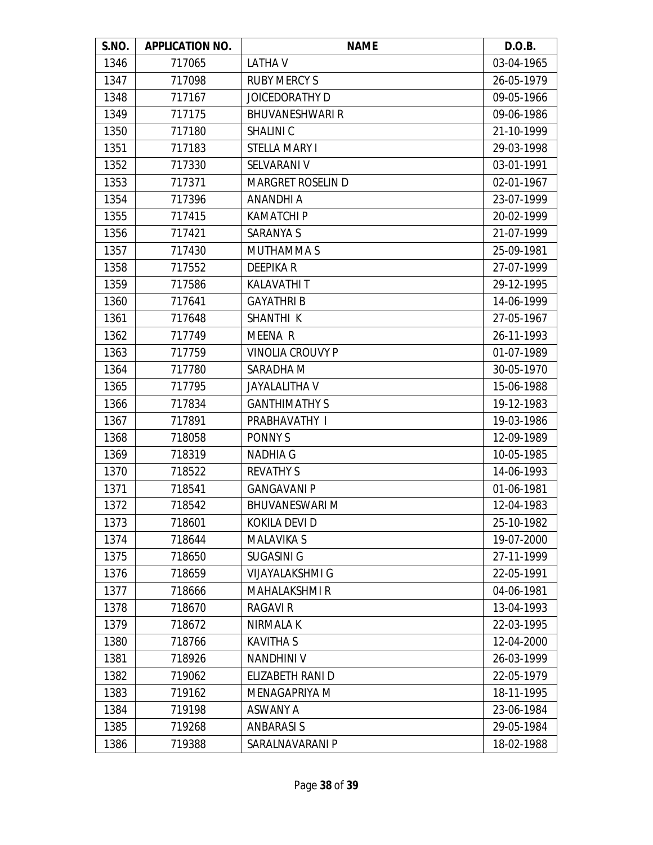| S.NO. | <b>APPLICATION NO.</b> | <b>NAME</b>              | D.O.B.     |
|-------|------------------------|--------------------------|------------|
| 1346  | 717065                 | <b>LATHAV</b>            | 03-04-1965 |
| 1347  | 717098                 | <b>RUBY MERCY S</b>      | 26-05-1979 |
| 1348  | 717167                 | JOICEDORATHY D           | 09-05-1966 |
| 1349  | 717175                 | <b>BHUVANESHWARI R</b>   | 09-06-1986 |
| 1350  | 717180                 | <b>SHALINIC</b>          | 21-10-1999 |
| 1351  | 717183                 | <b>STELLA MARY I</b>     | 29-03-1998 |
| 1352  | 717330                 | SELVARANI V              | 03-01-1991 |
| 1353  | 717371                 | <b>MARGRET ROSELIN D</b> | 02-01-1967 |
| 1354  | 717396                 | <b>ANANDHI A</b>         | 23-07-1999 |
| 1355  | 717415                 | <b>KAMATCHI P</b>        | 20-02-1999 |
| 1356  | 717421                 | <b>SARANYA S</b>         | 21-07-1999 |
| 1357  | 717430                 | MUTHAMMA S               | 25-09-1981 |
| 1358  | 717552                 | <b>DEEPIKAR</b>          | 27-07-1999 |
| 1359  | 717586                 | <b>KALAVATHIT</b>        | 29-12-1995 |
| 1360  | 717641                 | <b>GAYATHRIB</b>         | 14-06-1999 |
| 1361  | 717648                 | SHANTHI K                | 27-05-1967 |
| 1362  | 717749                 | <b>MEENA R</b>           | 26-11-1993 |
| 1363  | 717759                 | <b>VINOLIA CROUVY P</b>  | 01-07-1989 |
| 1364  | 717780                 | SARADHA M                | 30-05-1970 |
| 1365  | 717795                 | <b>JAYALALITHA V</b>     | 15-06-1988 |
| 1366  | 717834                 | <b>GANTHIMATHY S</b>     | 19-12-1983 |
| 1367  | 717891                 | PRABHAVATHY I            | 19-03-1986 |
| 1368  | 718058                 | PONNY S                  | 12-09-1989 |
| 1369  | 718319                 | <b>NADHIA G</b>          | 10-05-1985 |
| 1370  | 718522                 | <b>REVATHY S</b>         | 14-06-1993 |
| 1371  | 718541                 | <b>GANGAVANI P</b>       | 01-06-1981 |
| 1372  | 718542                 | <b>BHUVANESWARI M</b>    | 12-04-1983 |
| 1373  | 718601                 | KOKILA DEVI D            | 25-10-1982 |
| 1374  | 718644                 | <b>MALAVIKA S</b>        | 19-07-2000 |
| 1375  | 718650                 | <b>SUGASINI G</b>        | 27-11-1999 |
| 1376  | 718659                 | <b>VIJAYALAKSHMI G</b>   | 22-05-1991 |
| 1377  | 718666                 | <b>MAHALAKSHMIR</b>      | 04-06-1981 |
| 1378  | 718670                 | <b>RAGAVI R</b>          | 13-04-1993 |
| 1379  | 718672                 | NIRMALA K                | 22-03-1995 |
| 1380  | 718766                 | <b>KAVITHA S</b>         | 12-04-2000 |
| 1381  | 718926                 | <b>NANDHINI V</b>        | 26-03-1999 |
| 1382  | 719062                 | ELIZABETH RANI D         | 22-05-1979 |
| 1383  | 719162                 | MENAGAPRIYA M            | 18-11-1995 |
| 1384  | 719198                 | <b>ASWANY A</b>          | 23-06-1984 |
| 1385  | 719268                 | <b>ANBARASIS</b>         | 29-05-1984 |
| 1386  | 719388                 | SARALNAVARANI P          | 18-02-1988 |